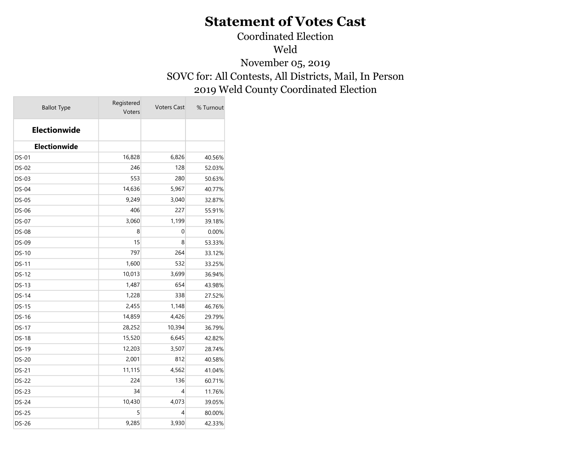Coordinated Election

Weld

November 05, 2019 SOVC for: All Contests, All Districts, Mail, In Person 2019 Weld County Coordinated Election

| <b>Ballot Type</b>  | Registered<br>Voters | <b>Voters Cast</b> | % Turnout |
|---------------------|----------------------|--------------------|-----------|
| <b>Electionwide</b> |                      |                    |           |
| Electionwide        |                      |                    |           |
| <b>DS-01</b>        | 16,828               | 6,826              | 40.56%    |
| <b>DS-02</b>        | 246                  | 128                | 52.03%    |
| DS-03               | 553                  | 280                | 50.63%    |
| DS-04               | 14,636               | 5,967              | 40.77%    |
| DS-05               | 9,249                | 3,040              | 32.87%    |
| <b>DS-06</b>        | 406                  | 227                | 55.91%    |
| <b>DS-07</b>        | 3,060                | 1,199              | 39.18%    |
| <b>DS-08</b>        | 8                    | 0                  | 0.00%     |
| DS-09               | 15                   | 8                  | 53.33%    |
| <b>DS-10</b>        | 797                  | 264                | 33.12%    |
| <b>DS-11</b>        | 1,600                | 532                | 33.25%    |
| DS-12               | 10,013               | 3,699              | 36.94%    |
| DS-13               | 1,487                | 654                | 43.98%    |
| DS-14               | 1,228                | 338                | 27.52%    |
| <b>DS-15</b>        | 2,455                | 1,148              | 46.76%    |
| <b>DS-16</b>        | 14,859               | 4,426              | 29.79%    |
| DS-17               | 28,252               | 10,394             | 36.79%    |
| DS-18               | 15,520               | 6,645              | 42.82%    |
| DS-19               | 12,203               | 3,507              | 28.74%    |
| <b>DS-20</b>        | 2,001                | 812                | 40.58%    |
| <b>DS-21</b>        | 11,115               | 4,562              | 41.04%    |
| <b>DS-22</b>        | 224                  | 136                | 60.71%    |
| DS-23               | 34                   | 4                  | 11.76%    |
| <b>DS-24</b>        | 10,430               | 4,073              | 39.05%    |
| <b>DS-25</b>        | 5                    | 4                  | 80.00%    |
| <b>DS-26</b>        | 9,285                | 3,930              | 42.33%    |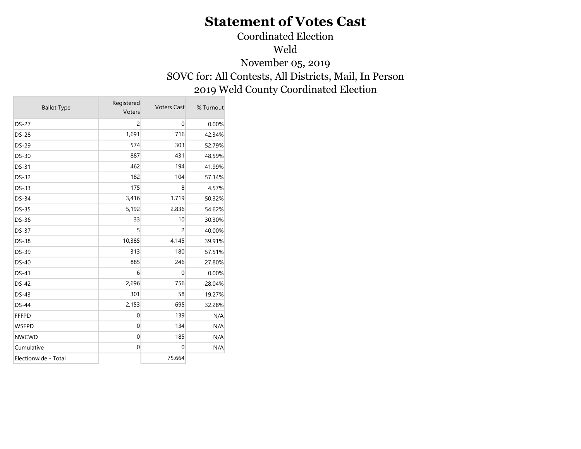Coordinated Election

Weld

November 05, 2019 SOVC for: All Contests, All Districts, Mail, In Person 2019 Weld County Coordinated Election

| <b>Ballot Type</b>   | Registered<br>Voters | <b>Voters Cast</b> | % Turnout |
|----------------------|----------------------|--------------------|-----------|
| <b>DS-27</b>         | $\overline{c}$       | $\pmb{0}$          | 0.00%     |
| <b>DS-28</b>         | 1,691                | 716                | 42.34%    |
| <b>DS-29</b>         | 574                  | 303                | 52.79%    |
| DS-30                | 887                  | 431                | 48.59%    |
| DS-31                | 462                  | 194                | 41.99%    |
| <b>DS-32</b>         | 182                  | 104                | 57.14%    |
| <b>DS-33</b>         | 175                  | 8                  | 4.57%     |
| <b>DS-34</b>         | 3,416                | 1,719              | 50.32%    |
| <b>DS-35</b>         | 5,192                | 2,836              | 54.62%    |
| <b>DS-36</b>         | 33                   | 10                 | 30.30%    |
| <b>DS-37</b>         | 5                    | $\overline{2}$     | 40.00%    |
| <b>DS-38</b>         | 10,385               | 4,145              | 39.91%    |
| DS-39                | 313                  | 180                | 57.51%    |
| <b>DS-40</b>         | 885                  | 246                | 27.80%    |
| DS-41                | 6                    | $\overline{0}$     | 0.00%     |
| <b>DS-42</b>         | 2,696                | 756                | 28.04%    |
| <b>DS-43</b>         | 301                  | 58                 | 19.27%    |
| <b>DS-44</b>         | 2,153                | 695                | 32.28%    |
| <b>FFFPD</b>         | $\mathbf 0$          | 139                | N/A       |
| <b>WSFPD</b>         | $\mathbf 0$          | 134                | N/A       |
| <b>NWCWD</b>         | $\mathbf 0$          | 185                | N/A       |
| Cumulative           | $\pmb{0}$            | $\pmb{0}$          | N/A       |
| Electionwide - Total |                      | 75,664             |           |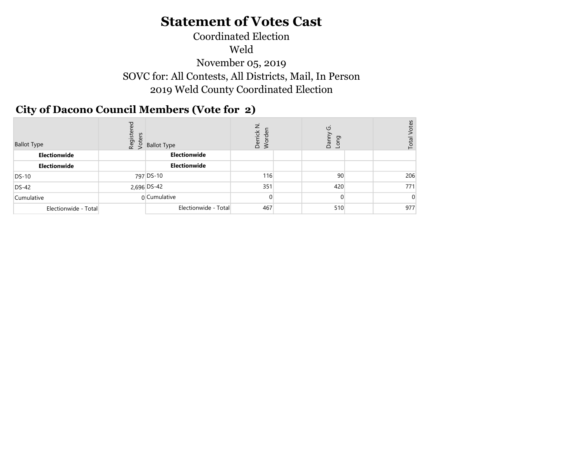## Coordinated Election Weld November 05, 2019 SOVC for: All Contests, All Districts, Mail, In Person 2019 Weld County Coordinated Election

#### City of Dacono Council Members (Vote for 2)  $\mathcal{L}$   $\mathcal{L}$

| <b>Ballot Type</b>   | ਠ<br>Registel<br>Voters | Ballot Type          | ⇁<br>rick<br>Der<br>3 | U<br>פַ<br>$\overline{\phantom{0}}$<br>Ъāг<br>$\overline{5}$ | آي<br>⊢ |
|----------------------|-------------------------|----------------------|-----------------------|--------------------------------------------------------------|---------|
| Electionwide         |                         | Electionwide         |                       |                                                              |         |
| Electionwide         |                         | Electionwide         |                       |                                                              |         |
| <b>DS-10</b>         |                         | 797 DS-10            | 116                   | 90                                                           | 206     |
| $DS-42$              |                         | 2,696 DS-42          | 351                   | 420                                                          | 771     |
| Cumulative           |                         | 0 Cumulative         |                       |                                                              |         |
| Electionwide - Total |                         | Electionwide - Total | 467                   | 510                                                          | 977     |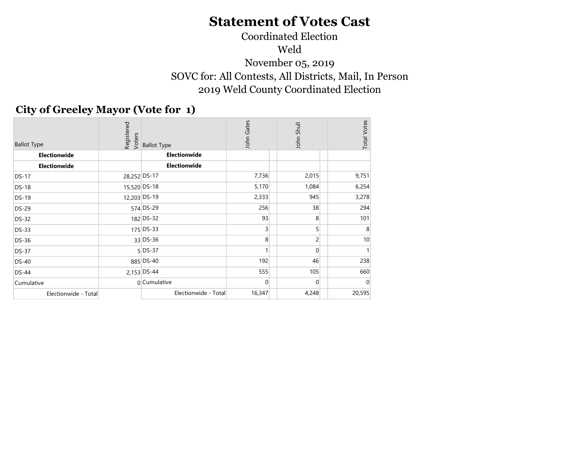## Coordinated Election Weld November 05, 2019 SOVC for: All Contests, All Districts, Mail, In Person 2019 Weld County Coordinated Election

## City of Greeley Mayor (Vote for 1)

| <b>Ballot Type</b>   | Registered<br>Voters | <b>Ballot Type</b>   | John Gates | John Shull     | <b>Total Votes</b> |
|----------------------|----------------------|----------------------|------------|----------------|--------------------|
| Electionwide         |                      | Electionwide         |            |                |                    |
| <b>Electionwide</b>  |                      | Electionwide         |            |                |                    |
| <b>DS-17</b>         | 28,252 DS-17         |                      | 7,736      | 2,015          | 9,751              |
| <b>DS-18</b>         | 15,520 DS-18         |                      | 5,170      | 1,084          | 6,254              |
| <b>DS-19</b>         | 12,203 DS-19         |                      | 2,333      | 945            | 3,278              |
| <b>DS-29</b>         |                      | 574 DS-29            | 256        | 38             | 294                |
| <b>DS-32</b>         |                      | 182 DS-32            | 93         | 8              | 101                |
| <b>DS-33</b>         |                      | 175 DS-33            | 3          | 5 <sup>1</sup> | 8                  |
| <b>DS-36</b>         |                      | 33 DS-36             | 8          | $\overline{c}$ | 10                 |
| <b>DS-37</b>         |                      | $5$ DS-37            | 1          | $\Omega$       |                    |
| <b>DS-40</b>         |                      | 885 DS-40            | 192        | 46             | 238                |
| <b>DS-44</b>         |                      | 2,153 DS-44          | 555        | 105            | 660                |
| Cumulative           |                      | 0 Cumulative         | 0          | $\overline{0}$ | 0                  |
| Electionwide - Total |                      | Electionwide - Total | 16,347     | 4,248          | 20,595             |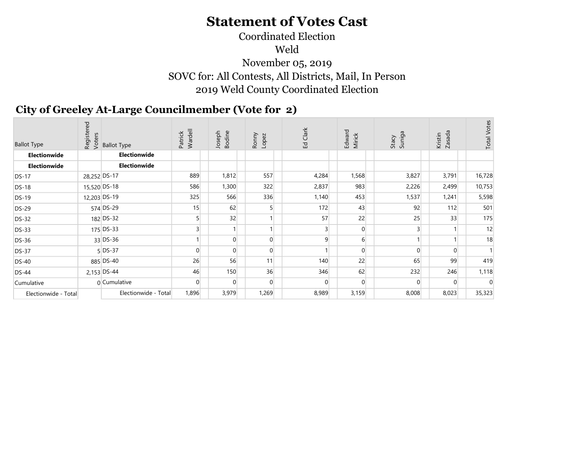## Coordinated Election Weld November 05, 2019 SOVC for: All Contests, All Districts, Mail, In Person 2019 Weld County Coordinated Election

## City of Greeley At-Large Councilmember (Vote for 2)

| <b>Ballot Type</b>   |              | egistered<br>Registers<br>A S Ballot Type | Wardell<br>Patrick | Joseph<br>Bodine | Ronny<br>Lopez | Ed Clark       | Edward<br>Mirick | Stacy<br>Suniga | Zasada<br>Kristin | <b>Total Votes</b> |
|----------------------|--------------|-------------------------------------------|--------------------|------------------|----------------|----------------|------------------|-----------------|-------------------|--------------------|
| Electionwide         |              | Electionwide                              |                    |                  |                |                |                  |                 |                   |                    |
| Electionwide         |              | Electionwide                              |                    |                  |                |                |                  |                 |                   |                    |
| <b>DS-17</b>         | 28,252 DS-17 |                                           | 889                | 1,812            | 557            | 4,284          | 1,568            | 3,827           | 3,791             | 16,728             |
| <b>DS-18</b>         | 15,520 DS-18 |                                           | 586                | 1,300            | 322            | 2,837          | 983              | 2,226           | 2,499             | 10,753             |
| <b>DS-19</b>         | 12,203 DS-19 |                                           | 325                | 566              | 336            | 1,140          | 453              | 1,537           | 1,241             | 5,598              |
| <b>DS-29</b>         |              | 574 DS-29                                 | 15                 | 62               |                | 172            | 43               | 92              | 112               | 501                |
| <b>DS-32</b>         |              | 182 DS-32                                 |                    | 32               |                | 57             | 22               | 25              | 33                | 175                |
| DS-33                |              | 175 DS-33                                 | $\overline{3}$     |                  |                | $\overline{3}$ | $\overline{0}$   | $\overline{3}$  |                   | 12                 |
| DS-36                |              | $33$ DS-36                                |                    | $\overline{0}$   | $\overline{0}$ | $\overline{9}$ | $6 \mid$         |                 |                   | 18                 |
| <b>DS-37</b>         |              | $5$ DS-37                                 | $\overline{0}$     | $\overline{0}$   | $\Omega$       |                | $\overline{0}$   |                 | $\Omega$          |                    |
| <b>DS-40</b>         |              | 885 DS-40                                 | 26                 | 56               | 11             | 140            | 22               | 65              | 99                | 419                |
| $DS-44$              |              | 2,153 DS-44                               | 46                 | 150              | 36             | 346            | 62               | 232             | 246               | 1,118              |
| Cumulative           |              | 0 Cumulative                              | $\overline{0}$     | $\overline{0}$   | $\Omega$       | $\overline{0}$ | $\Omega$         | $\overline{0}$  | $\Omega$          |                    |
| Electionwide - Total |              | Electionwide - Total                      | 1,896              | 3,979            | 1,269          | 8,989          | 3,159            | 8,008           | 8,023             | 35,323             |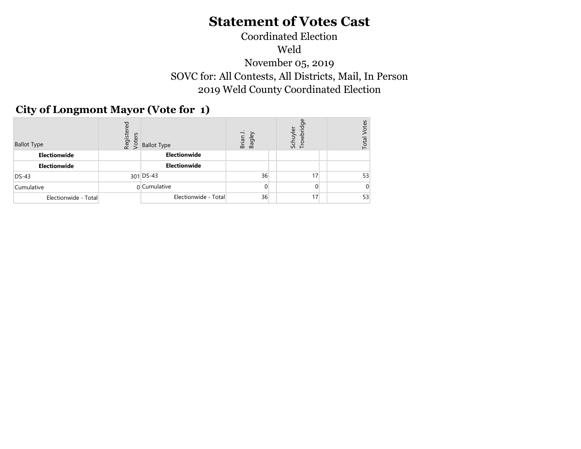## Coordinated Election Weld November 05, 2019 SOVC for: All Contests, All Districts, Mail, In Person 2019 Weld County Coordinated Election

## City of Longmont Mayor (Vote for 1)

| <b>Ballot Type</b>   | Registered<br>Voters | <b>Ballot Type</b>   | $\overline{\phantom{a}}$<br>Brian J<br>Bagley | 몽<br>Schuyler<br>Trowbrid | otes<br>Total |
|----------------------|----------------------|----------------------|-----------------------------------------------|---------------------------|---------------|
| Electionwide         |                      | Electionwide         |                                               |                           |               |
| Electionwide         |                      | Electionwide         |                                               |                           |               |
| $DS-43$              |                      | 301 DS-43            | 36                                            | 17                        | 53            |
| Cumulative           |                      | 0 Cumulative         | 0                                             | $\Omega$                  |               |
| Electionwide - Total |                      | Electionwide - Total | 36                                            | 17 <sup>1</sup>           | 53            |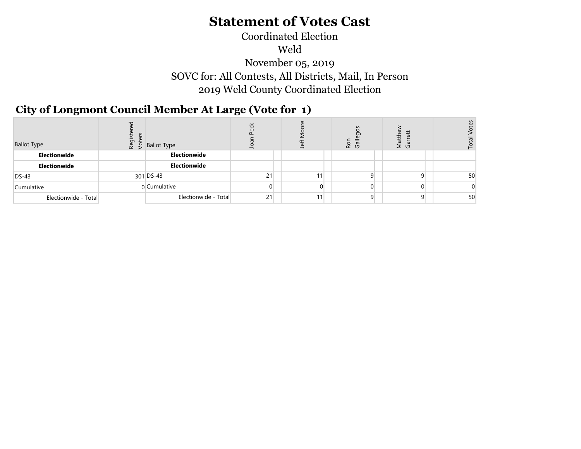## Coordinated Election Weld November 05, 2019 SOVC for: All Contests, All Districts, Mail, In Person2019 Weld County Coordinated Election

#### $\sigma$   $\sigma$   $\sim$  2019 City of Longmont Council Member At Large (Vote for 1)

| <b>Ballot Type</b>   | $\frac{5}{2}$<br>$\frac{1}{2}$ Ballot Type |    | 윽 | Ro<br>Ga | т<br>В<br>З |    |
|----------------------|--------------------------------------------|----|---|----------|-------------|----|
| Electionwide         | Electionwide                               |    |   |          |             |    |
| Electionwide         | Electionwide                               |    |   |          |             |    |
| $DS-43$              | 301 DS-43                                  | 21 |   |          |             | 50 |
| Cumulative           | 0 Cumulative                               | 0  |   | 0        |             |    |
| Electionwide - Total | Electionwide - Total                       | 21 |   |          |             | 50 |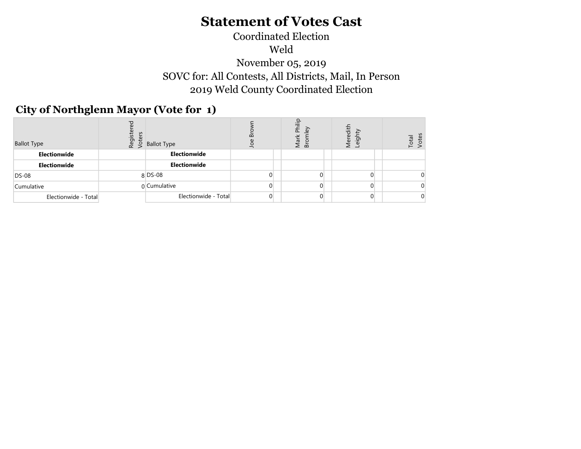## Coordinated Election Weld November 05, 2019 SOVC for: All Contests, All Districts, Mail, In Person 2019 Weld County Coordinated Election

## City of Northglenn Mayor (Vote for 1)

| <b>Ballot Type</b>   | ä | $\chi$ $\lesssim$ Ballot Type | $\mathbf{a}$<br>윽 | $\Omega$<br>Phili<br>ley<br>Mark<br>š<br>മ | 흥<br>eig<br>$\bar{\mathbb{F}}$ and | Total<br>≟ |
|----------------------|---|-------------------------------|-------------------|--------------------------------------------|------------------------------------|------------|
| Electionwide         |   | Electionwide                  |                   |                                            |                                    |            |
| Electionwide         |   | Electionwide                  |                   |                                            |                                    |            |
| <b>DS-08</b>         |   | $8$ DS-08                     |                   | 0                                          |                                    |            |
| Cumulative           |   | 0 Cumulative                  | 0                 | $\Omega$                                   |                                    |            |
| Electionwide - Total |   | Electionwide - Total          | $\overline{0}$    | $\Omega$                                   | $\Omega$                           |            |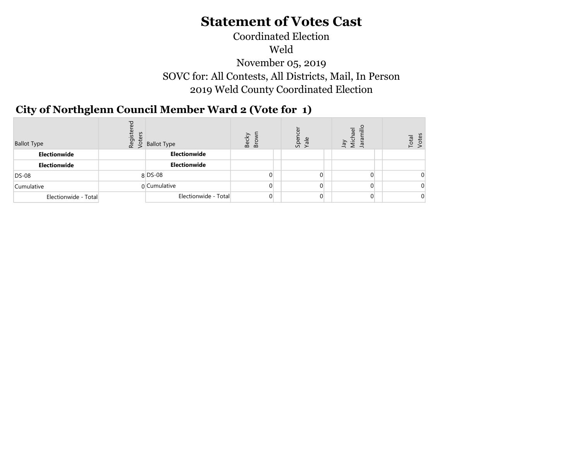### Coordinated Election Weld November 05, 2019 SOVC for: All Contests, All Districts, Mail, In Person 2019 Weld County Coordinated Election

#### $\sigma$   $\sigma$   $\sigma$ City of Northglenn Council Member Ward 2 (Vote for 1)

| <b>Ballot Type</b>   | $\frac{5}{8}$ being being that the set of the set of the set of the set of the set of the set of the set of the set of the set of the set of the set of the set of the set of the set of the set of the set of the set of the set | ℒ<br>$\overline{u}$<br>$\mathbf{\Omega}$<br>$\mathbf{\Omega}$ | Sper<br>Yale   | ≣<br>$\overline{\omega}$<br>Micha<br>Jara<br>Λer | $\overline{\mathbb{e}}$<br>Ъ. |
|----------------------|-----------------------------------------------------------------------------------------------------------------------------------------------------------------------------------------------------------------------------------|---------------------------------------------------------------|----------------|--------------------------------------------------|-------------------------------|
| Electionwide         | Electionwide                                                                                                                                                                                                                      |                                                               |                |                                                  |                               |
| Electionwide         | Electionwide                                                                                                                                                                                                                      |                                                               |                |                                                  |                               |
| <b>DS-08</b>         | $8$ DS-08                                                                                                                                                                                                                         | 0.                                                            | $\Omega$       |                                                  |                               |
| Cumulative           | n Cumulative                                                                                                                                                                                                                      | $\Omega$                                                      | $\Omega$       |                                                  |                               |
| Electionwide - Total | Electionwide - Total                                                                                                                                                                                                              | $\overline{0}$                                                | $\overline{0}$ |                                                  |                               |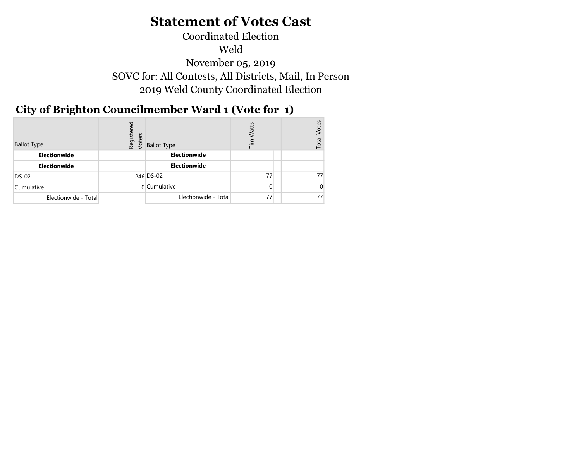## Coordinated Election Weld November 05, 2019 SOVC for: All Contests, All Districts, Mail, In Person 2019 Weld County Coordinated Election

#### $\overline{y}$ City of Brighton Councilmember Ward 1 (Vote for 1)

| <b>Ballot Type</b>   | Registered<br>Voters | <b>Ballot Type</b>   | atts<br>⋷ | otes<br>Total |
|----------------------|----------------------|----------------------|-----------|---------------|
| Electionwide         |                      | Electionwide         |           |               |
| Electionwide         |                      | Electionwide         |           |               |
| DS-02                |                      | 246 DS-02            | 77        | 77            |
| Cumulative           |                      | 0 Cumulative         | $\Omega$  |               |
| Electionwide - Total |                      | Electionwide - Total | 77        | 77            |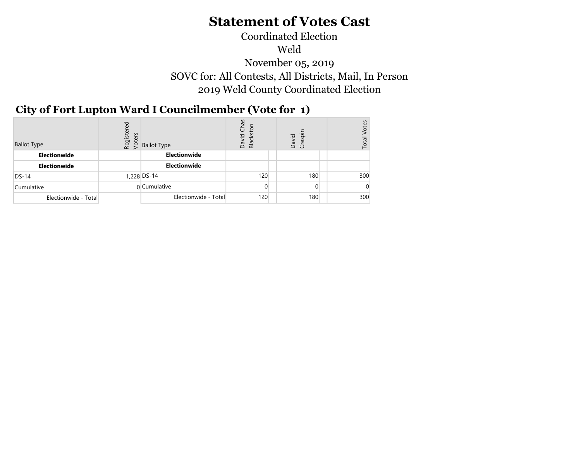## SOVC for: All Contests, All Districts, Mail, In Person 2019 Weld County Coordinated Election Coordinated Election Weld November 05, 2019

#### $\sigma$   $\sigma$   $\sim$ City of Fort Lupton Ward I Councilmember (Vote for 1)

| <b>Ballot Type</b>   | Registered<br>Voters | <b>Ballot Type</b>   | Chas<br>Blackston<br>David | David<br>Crespi | es<br>Total |
|----------------------|----------------------|----------------------|----------------------------|-----------------|-------------|
| Electionwide         |                      | Electionwide         |                            |                 |             |
| Electionwide         |                      | Electionwide         |                            |                 |             |
| $DS-14$              |                      | 1,228 DS-14          | 120                        | 180             | 300         |
| Cumulative           |                      | 0 Cumulative         | $\Omega$                   | 0               |             |
| Electionwide - Total |                      | Electionwide - Total | 120                        | 180             | 300         |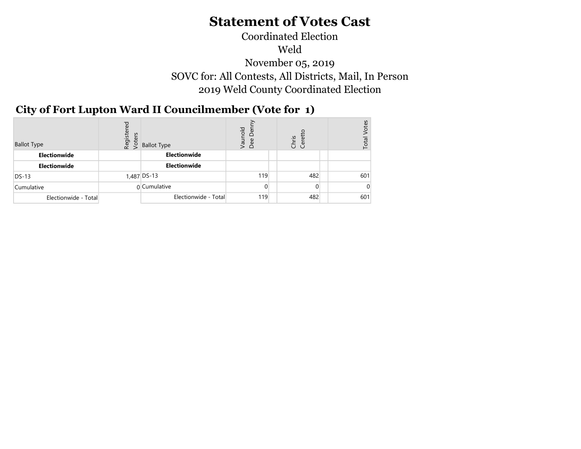## Weld November 05, 2019 SOVC for: All Contests, All Districts, Mail, In Person 2019 Weld County Coordinated Election Coordinated Election

#### City of Fort Lupton Ward II Councilmember (Vote for 1)  $\sigma$   $\sigma$   $\sigma$   $\sigma$

| <b>Ballot Type</b>   | Registered<br>Voters | <b>Ballot Type</b>   | Vaunold<br>ð<br>Dee | Chris<br>Ceret | otes<br>Total |
|----------------------|----------------------|----------------------|---------------------|----------------|---------------|
| Electionwide         |                      | Electionwide         |                     |                |               |
| Electionwide         |                      | Electionwide         |                     |                |               |
| $DS-13$              |                      | 1,487 DS-13          | 119                 | 482            | 601           |
| Cumulative           |                      | 0 Cumulative         | 0                   | $\Omega$       |               |
| Electionwide - Total |                      | Electionwide - Total | 119                 | 482            | 601           |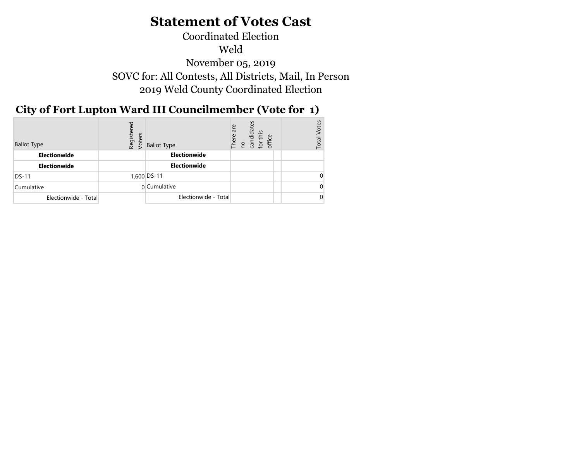## Coordinated Election Weld November 05, 2019 SOVC for: All Contests, All Districts, Mail, In Person 2019 Weld County Coordinated Election

#### $\overline{N}$ City of Fort Lupton Ward III Councilmember (Vote for 1)

| <b>Ballot Type</b>   | Registered<br>Voters | <b>Ballot Type</b>   | candidates<br>are<br>this<br>There<br>office<br>$\tilde{\mathcal{Q}}$<br><b>PU</b> | otes<br>Total |
|----------------------|----------------------|----------------------|------------------------------------------------------------------------------------|---------------|
| Electionwide         |                      | Electionwide         |                                                                                    |               |
| Electionwide         |                      | Electionwide         |                                                                                    |               |
| <b>DS-11</b>         |                      | 1,600 DS-11          |                                                                                    |               |
| Cumulative           |                      | 0 Cumulative         |                                                                                    |               |
| Electionwide - Total |                      | Electionwide - Total |                                                                                    |               |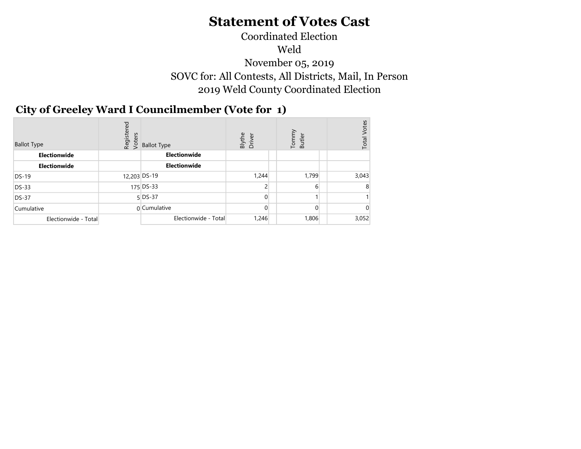## Coordinated Election Weld November 05, 2019 SOVC for: All Contests, All Districts, Mail, In Person 2019 Weld County Coordinated Election

### City of Greeley Ward I Councilmember (Vote for 1)  $\sim$

| <b>Ballot Type</b>   | Registered<br>Voters | <b>Ballot Type</b>   | Blythe<br>Driver | Tommy<br>Butler | Votes<br>Total |
|----------------------|----------------------|----------------------|------------------|-----------------|----------------|
| Electionwide         |                      | Electionwide         |                  |                 |                |
| Electionwide         |                      | Electionwide         |                  |                 |                |
| $DS-19$              |                      | 12,203 DS-19         | 1,244            | 1,799           | 3,043          |
| <b>DS-33</b>         |                      | 175 DS-33            | 2                | 6               |                |
| <b>DS-37</b>         |                      | $5$ DS-37            | 0                |                 |                |
| Cumulative           |                      | $0$ Cumulative       | $\Omega$         | $\Omega$        |                |
| Electionwide - Total |                      | Electionwide - Total | 1,246            | 1,806           | 3,052          |
|                      |                      |                      |                  |                 |                |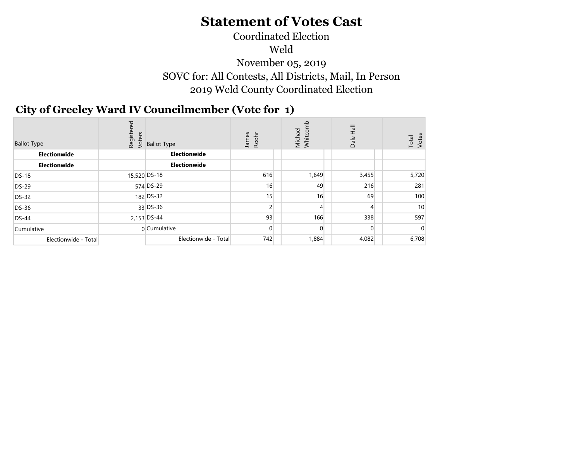# Coordinated Election

Weld

November 05, 2019 SOVC for: All Contests, All Districts, Mail, In Person 2019 Weld County Coordinated Election

#### City of Greeley Ward IV Councilmember (Vote for 1)  $\mathcal{L}$   $\mathcal{L}$

| <b>Ballot Type</b>   |              | ိုင်း<br>ထို့ Ballot Type<br>ထို့ S Ballot Type | James<br>Roohr | Michael<br>Whitcom | $\overline{\mathbb{R}}$<br>Dale | Total<br>Votes |
|----------------------|--------------|-------------------------------------------------|----------------|--------------------|---------------------------------|----------------|
| Electionwide         |              | Electionwide                                    |                |                    |                                 |                |
| Electionwide         |              | Electionwide                                    |                |                    |                                 |                |
| <b>DS-18</b>         | 15,520 DS-18 |                                                 | 616            | 1,649              | 3,455                           | 5,720          |
| DS-29                |              | 574 DS-29                                       | 16             | 49                 | 216                             | 281            |
| <b>DS-32</b>         |              | 182 DS-32                                       | 15             | 16                 | 69                              | 100            |
| DS-36                |              | 33 DS-36                                        | $\overline{2}$ |                    | 4                               | 10             |
| <b>DS-44</b>         |              | 2,153 DS-44                                     | 93             | 166                | 338                             | 597            |
| Cumulative           |              | 0 Cumulative                                    | $\overline{0}$ | $\Omega$           | $\overline{0}$                  |                |
| Electionwide - Total |              | Electionwide - Total                            | 742            | 1,884              | 4,082                           | 6,708          |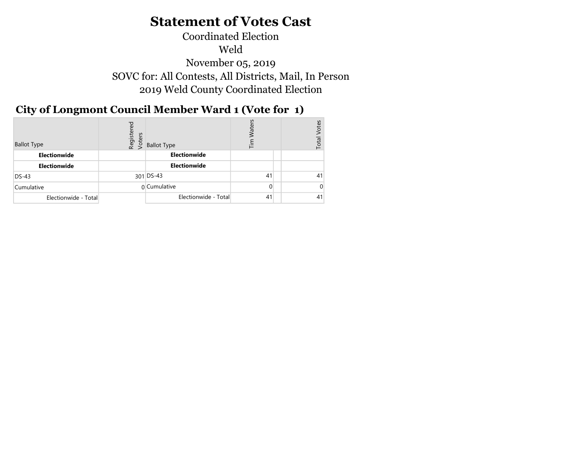Coordinated Election Weld November 05, 2019 SOVC for: All Contests, All Districts, Mail, In Person 2019 Weld County Coordinated Election

## City of Longmont Council Member Ward 1 (Vote for 1)

| <b>Ballot Type</b>   | ΡĐ<br>Registe<br>Voters | <b>Ballot Type</b>   | 들  | otes<br>Total |
|----------------------|-------------------------|----------------------|----|---------------|
| Electionwide         |                         | Electionwide         |    |               |
| Electionwide         |                         | Electionwide         |    |               |
| $DS-43$              |                         | $301$ DS-43          | 41 | 41            |
| Cumulative           |                         | 0 Cumulative         |    |               |
| Electionwide - Total |                         | Electionwide - Total | 41 | 41            |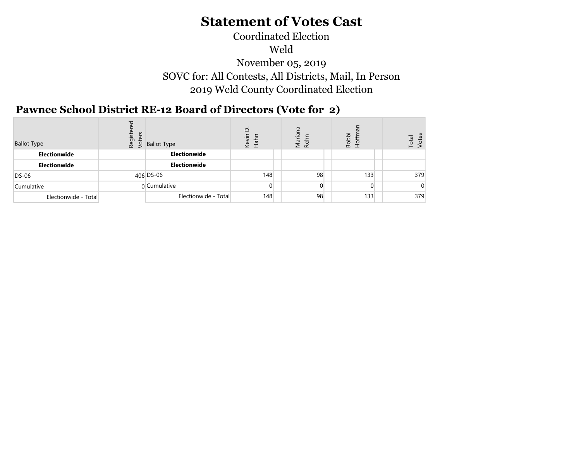## Coordinated Election Weld November 05, 2019 SOVC for: All Contests, All Districts, Mail, In Person 2019 Weld County Coordinated Election

#### Pawnee School District RE-12 Board of Directors (Vote for 2)  $\sim$  2019  $\sim$  2019  $\sim$  2019  $\sim$  2019  $\sim$  2019  $\sim$  2019  $\sim$  2019  $\sim$  2019  $\sim$  2019  $\sim$  2019  $\sim$  2019  $\sim$  2019  $\sim$  2019  $\sim$  2019  $\sim$  2019  $\sim$  2019  $\sim$  2019  $\sim$  2019  $\sim$  2019  $\sim$  2019  $\sim$  2019  $\sim$  2019

| <b>Ballot Type</b>   | $\begin{bmatrix} 16 & 16 \\ 20 & 56 \\ 6 & 6 \end{bmatrix}$ Ballot Type | $\Delta$<br>©<br>∠° | ā<br>Mari<br>Rohr |    | <b>Bobbi</b><br>$\circ$ | Total |
|----------------------|-------------------------------------------------------------------------|---------------------|-------------------|----|-------------------------|-------|
| Electionwide         | Electionwide                                                            |                     |                   |    |                         |       |
| Electionwide         | Electionwide                                                            |                     |                   |    |                         |       |
| $DS-06$              | 406 DS-06                                                               | 148                 |                   | 98 | 133                     | 379   |
| Cumulative           | 0 Cumulative                                                            | $\Omega$            |                   | 0  |                         |       |
| Electionwide - Total | Electionwide - Total                                                    | 148                 |                   | 98 | 133                     | 379   |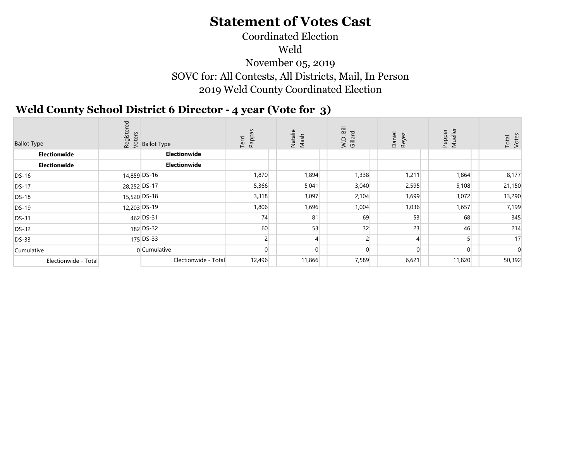## Coordinated Election Weld November 05, 2019 SOVC for: All Contests, All Districts, Mail, In Person 2019 Weld County Coordinated Election

#### $\sigma$   $\sigma$   $\sim$ Weld County School District 6 Director - 4 year (Vote for 3)

| <b>Ballot Type</b>   |              | စီးမှူး<br>ထို့ ပို့<br>မို့ S Ballot Type | Terri<br>Pappa | Natalie<br>Mash | $\overline{\mathrm{Bi}}$<br>W.D.<br>Gillar | Daniel<br>Reyez | Pepper<br>$\frac{1}{e}$<br>Σ | Votes<br>Total |
|----------------------|--------------|--------------------------------------------|----------------|-----------------|--------------------------------------------|-----------------|------------------------------|----------------|
| Electionwide         |              | Electionwide                               |                |                 |                                            |                 |                              |                |
| Electionwide         |              | Electionwide                               |                |                 |                                            |                 |                              |                |
| <b>DS-16</b>         | 14,859 DS-16 |                                            | 1,870          | 1,894           | 1,338                                      | 1,211           | 1,864                        | 8,177          |
| <b>DS-17</b>         | 28,252 DS-17 |                                            | 5,366          | 5,041           | 3,040                                      | 2,595           | 5,108                        | 21,150         |
| <b>DS-18</b>         | 15,520 DS-18 |                                            | 3,318          | 3,097           | 2,104                                      | 1,699           | 3,072                        | 13,290         |
| <b>DS-19</b>         |              | 12,203 DS-19                               | 1,806          | 1,696           | 1,004                                      | 1,036           | 1,657                        | 7,199          |
| <b>DS-31</b>         |              | 462 DS-31                                  | 74             | 81              | 69                                         | 53              | 68                           | 345            |
| <b>DS-32</b>         |              | 182 DS-32                                  | 60             | 53              | 32                                         | 23              | 46                           | 214            |
| <b>DS-33</b>         |              | 175 DS-33                                  |                |                 |                                            |                 |                              | 17             |
| Cumulative           |              | 0 Cumulative                               | $\Omega$       |                 |                                            |                 | $\Omega$                     |                |
| Electionwide - Total |              | Electionwide - Total                       | 12,496         | 11,866          | 7,589                                      | 6,621           | 11,820                       | 50,392         |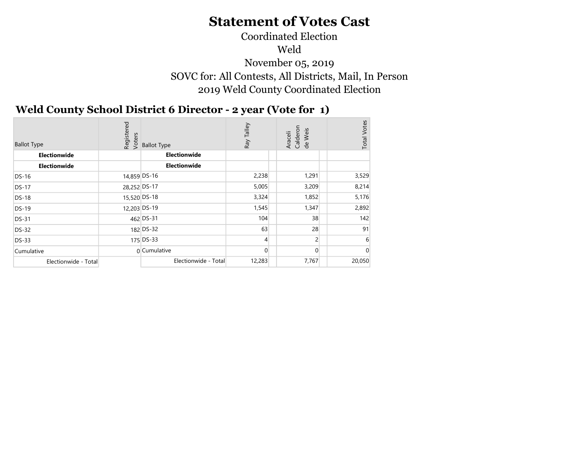## Coordinated Election Weld November 05, 2019 SOVC for: All Contests, All Districts, Mail, In Person 2019 Weld County Coordinated Election

## Weld County School District 6 Director - 2 year (Vote for 1)

| <b>Ballot Type</b>   | Registered<br>Voters | <b>Ballot Type</b>   | Talley<br>Ray  | Araceli<br>Calderon<br>de Weis | <b>Total Votes</b> |
|----------------------|----------------------|----------------------|----------------|--------------------------------|--------------------|
| Electionwide         |                      | Electionwide         |                |                                |                    |
| Electionwide         |                      | Electionwide         |                |                                |                    |
| <b>DS-16</b>         | 14,859 DS-16         |                      | 2,238          | 1,291                          | 3,529              |
| <b>DS-17</b>         | 28,252 DS-17         |                      | 5,005          | 3,209                          | 8,214              |
| <b>DS-18</b>         |                      | 15,520 DS-18         | 3,324          | 1,852                          | 5,176              |
| <b>DS-19</b>         |                      | 12.203 DS-19         | 1,545          | 1,347                          | 2,892              |
| <b>DS-31</b>         |                      | 462 DS-31            | 104            | 38                             | 142                |
| <b>DS-32</b>         |                      | 182 DS-32            | 63             | 28                             | 91                 |
| <b>DS-33</b>         |                      | 175 DS-33            | $\overline{4}$ | $\overline{2}$                 | 6                  |
| Cumulative           |                      | n Cumulative         | $\Omega$       | $\Omega$                       | ſ                  |
| Electionwide - Total |                      | Electionwide - Total | 12,283         | 7,767                          | 20,050             |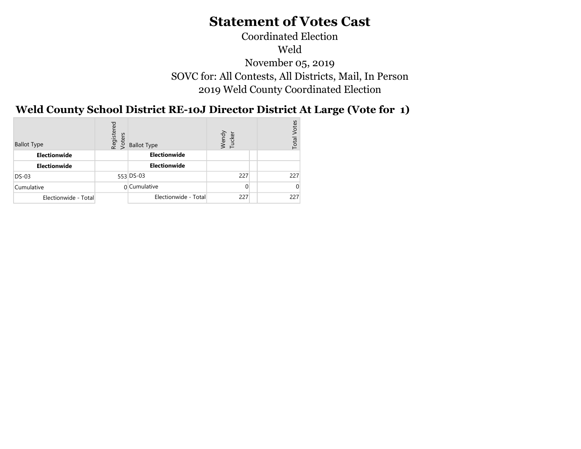## Coordinated Election Weld November 05, 2019 SOVC for: All Contests, All Districts, Mail, In Person 2019 Weld County Coordinated Election

#### $\mathbf{D}$ Weld County School District RE-10J Director District At Large (Vote for 1)

| <b>Ballot Type</b>   | red<br>Register<br>Voters | <b>Ballot Type</b>   | Wendy<br>Tucker | /otes<br>Total |
|----------------------|---------------------------|----------------------|-----------------|----------------|
| <b>Electionwide</b>  |                           | Electionwide         |                 |                |
| <b>Electionwide</b>  |                           | Electionwide         |                 |                |
| $DS-03$              |                           | $553$ DS-03          | 227             | 227            |
| Cumulative           |                           | 0 Cumulative         | 0               |                |
| Electionwide - Total |                           | Electionwide - Total | 227             | 227            |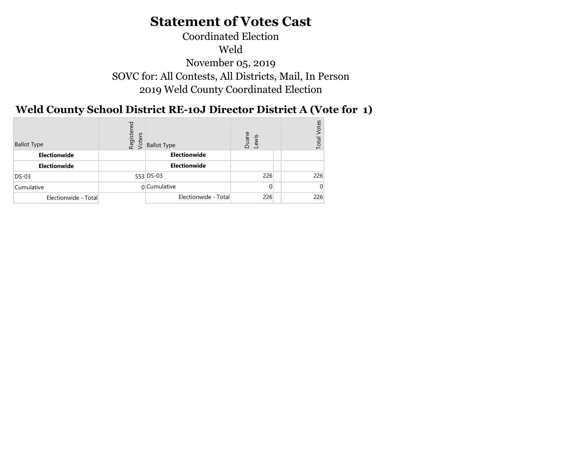### Coordinated Election Weld November 05, 2019 SOVC for: All Contests, All Districts, Mail, In Person 2019 Weld County Coordinated Election

#### $\overline{y}$ Weld County School District RE-10J Director District A (Vote for 1)

| <b>Ballot Type</b>   | Registered<br>Voters | <b>Ballot Type</b>   | Duane<br>Lewis | otes<br>Total |
|----------------------|----------------------|----------------------|----------------|---------------|
| Electionwide         |                      | Electionwide         |                |               |
| Electionwide         |                      | Electionwide         |                |               |
| <b>DS-03</b>         |                      | 553 DS-03            | 226            | 226           |
| Cumulative           |                      | 0 Cumulative         | $\Omega$       |               |
| Electionwide - Total |                      | Electionwide - Total | 226            | 226           |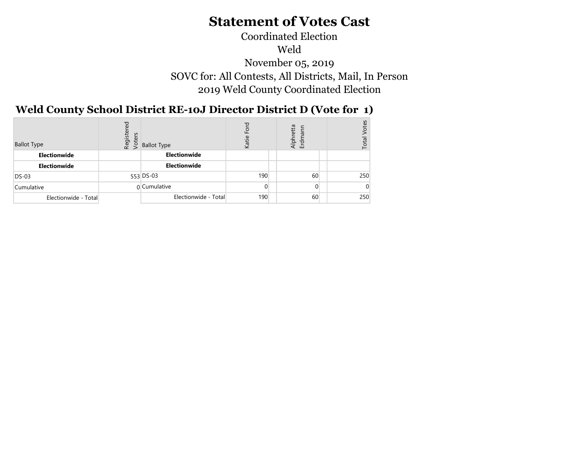## Coordinated Election Weld November 05, 2019 SOVC for: All Contests, All Districts, Mail, In Person 2019 Weld County Coordinated Election

#### Weld County School District RE-10J Director District D (Vote for 1)  $\mathbf{D}$

| <b>Ballot Type</b>   | Registered<br>Voters | <b>Ballot Type</b>   | ш<br>Katie | etta<br>Alphi<br>Erdm | otes<br>Total |
|----------------------|----------------------|----------------------|------------|-----------------------|---------------|
| Electionwide         |                      | Electionwide         |            |                       |               |
| Electionwide         |                      | Electionwide         |            |                       |               |
| $DS-03$              |                      | $553$ DS-03          | 190        | 60                    | 250           |
| Cumulative           |                      | 0 Cumulative         | $\Omega$   | 0                     |               |
| Electionwide - Total |                      | Electionwide - Total | 190        | 60                    | 250           |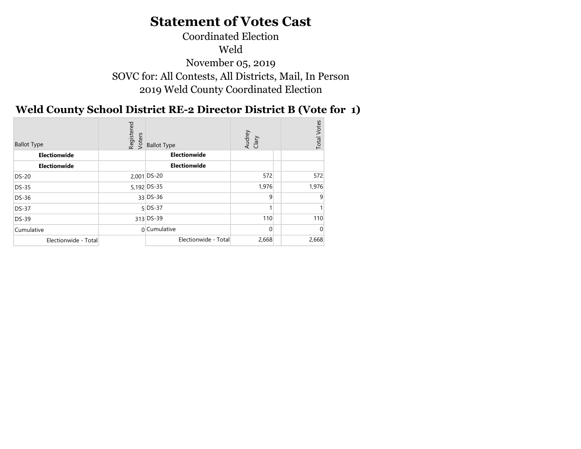## Coordinated Election Weld November 05, 2019 SOVC for: All Contests, All Districts, Mail, In Person 2019 Weld County Coordinated Election

## Weld County School District RE-2 Director District B (Vote for 1)

| <b>Ballot Type</b>   | Registered<br>Voters | <b>Ballot Type</b>   | Audrey<br>Clary | Votes<br>Total <sup>'</sup> |
|----------------------|----------------------|----------------------|-----------------|-----------------------------|
| Electionwide         |                      | Electionwide         |                 |                             |
| Electionwide         |                      | Electionwide         |                 |                             |
| <b>DS-20</b>         |                      | $2,001$ DS-20        | 572             | 572                         |
| <b>DS-35</b>         |                      | 5,192 DS-35          | 1,976           | 1,976                       |
| DS-36                |                      | $33$ DS-36           | 9               | q                           |
| <b>DS-37</b>         |                      | $5$ DS-37            |                 |                             |
| DS-39                |                      | 313 DS-39            | 110             | 110                         |
| Cumulative           |                      | 0 Cumulative         | $\Omega$        |                             |
| Electionwide - Total |                      | Electionwide - Total | 2,668           | 2,668                       |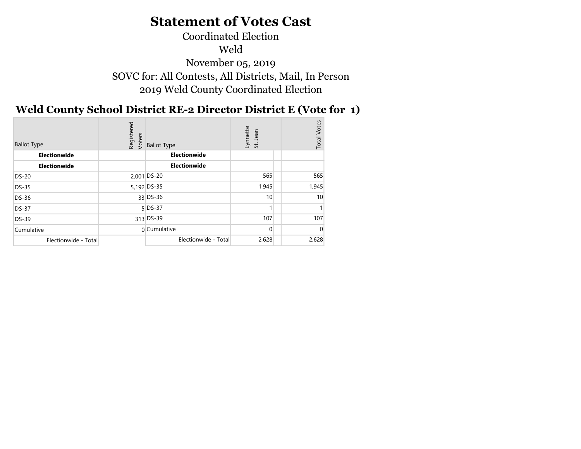## Coordinated Election Weld November 05, 2019 SOVC for: All Contests, All Districts, Mail, In Person 2019 Weld County Coordinated Election

## Weld County School District RE-2 Director District E (Vote for 1)

| Votes<br>Registered<br>Voters<br>Lynnette<br>St. Jean<br><b>Total</b><br><b>Ballot Type</b><br><b>Ballot Type</b> |
|-------------------------------------------------------------------------------------------------------------------|
| Electionwide<br>Electionwide                                                                                      |
| Electionwide<br>Electionwide                                                                                      |
| 565<br>565<br>$2,001$ DS-20<br><b>DS-20</b>                                                                       |
| 5,192 DS-35<br>1,945<br>1,945<br><b>DS-35</b>                                                                     |
| 33 DS-36<br>10 <sup>°</sup><br>10 <sup>°</sup><br>DS-36                                                           |
| $5$ DS-37<br><b>DS-37</b>                                                                                         |
| 107<br>107<br>313 DS-39<br>DS-39                                                                                  |
| 0 Cumulative<br>$\Omega$<br>Cumulative                                                                            |
| Electionwide - Total<br>2,628<br>2,628<br>Electionwide - Total                                                    |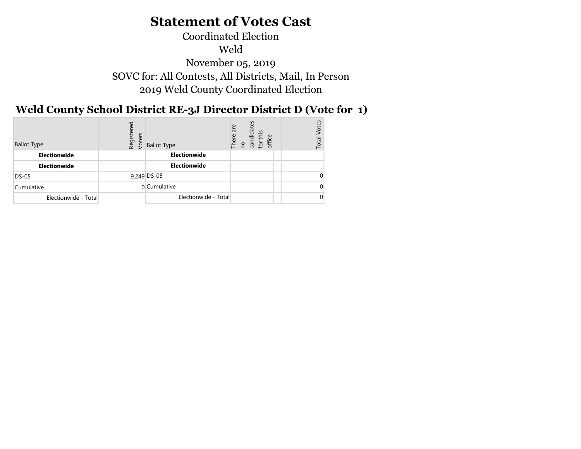Coordinated Election Weld November 05, 2019 SOVC for: All Contests, All Districts, Mail, In Person 2019 Weld County Coordinated Election

## Weld County School District RE-3J Director District D (Vote for 1)

| <b>Ballot Type</b>   | ಕ್ಷ<br>Registe<br>Voters | <b>Ballot Type</b>   | are<br>candidat<br>this<br>There<br>office<br><b>DO</b><br>đ | otes<br>Total |
|----------------------|--------------------------|----------------------|--------------------------------------------------------------|---------------|
| Electionwide         |                          | Electionwide         |                                                              |               |
| Electionwide         |                          | Electionwide         |                                                              |               |
| <b>DS-05</b>         |                          | 9,249 DS-05          |                                                              |               |
| Cumulative           |                          | 0 Cumulative         |                                                              |               |
| Electionwide - Total |                          | Electionwide - Total |                                                              |               |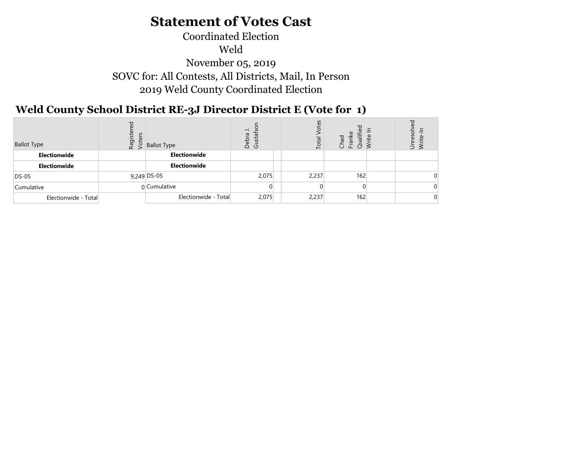## SOVC for: All Contests, All Districts, Mail, In Person 2019 Weld County Coordinated Election Coordinated Election Weld November 05, 2019

#### $\overline{y}$ Weld County School District RE-3J Director District E (Vote for 1)

| <b>Ballot Type</b>   | Regist<br>Voter | <b>Ballot Type</b>   | $\rightarrow$<br>π<br>Deb<br>Gust | Ω,<br>£,<br>O | Ò   | ⊂<br>-<br>உ<br><br>$\overline{\phantom{0}}$<br>$5 \ge$ |
|----------------------|-----------------|----------------------|-----------------------------------|---------------|-----|--------------------------------------------------------|
| Electionwide         |                 | Electionwide         |                                   |               |     |                                                        |
| Electionwide         |                 | Electionwide         |                                   |               |     |                                                        |
| DS-05                |                 | 9,249 DS-05          | 2,075                             | 2,237         | 162 |                                                        |
| Cumulative           |                 | 0 Cumulative         |                                   |               |     |                                                        |
| Electionwide - Total |                 | Electionwide - Total | 2,075                             | 2,237         | 162 |                                                        |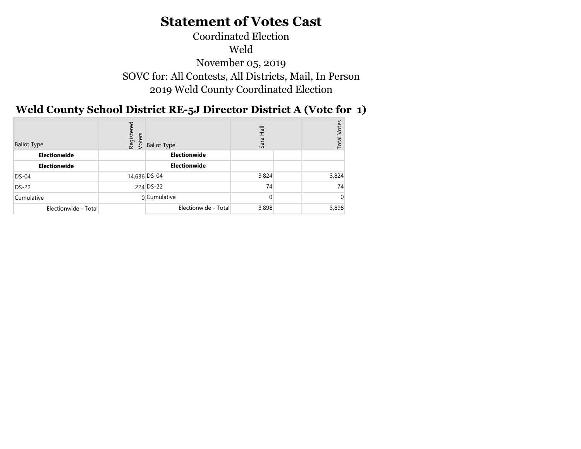## Coordinated Election Weld November 05, 2019 SOVC for: All Contests, All Districts, Mail, In Person 2019 Weld County Coordinated Election

## Weld County School District RE-5J Director District A (Vote for 1)

| <b>Ballot Type</b>   | Registered<br>Voters | <b>Ballot Type</b>   | တိ    | <b>Votes</b><br>Total |
|----------------------|----------------------|----------------------|-------|-----------------------|
| Electionwide         |                      | Electionwide         |       |                       |
| Electionwide         |                      | Electionwide         |       |                       |
| $DS-04$              |                      | 14,636 DS-04         | 3,824 | 3,824                 |
| <b>DS-22</b>         |                      | 224 DS-22            | 74    | 74                    |
| Cumulative           |                      | 0 Cumulative         |       |                       |
| Electionwide - Total |                      | Electionwide - Total | 3,898 | 3,898                 |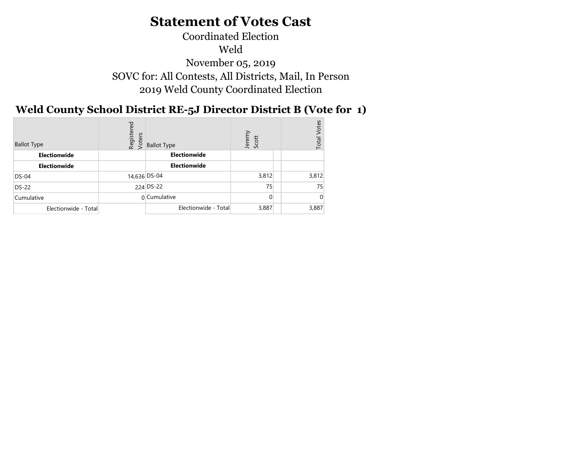## Coordinated Election Weld November 05, 2019 SOVC for: All Contests, All Districts, Mail, In Person 2019 Weld County Coordinated Election

#### Weld County School District RE-5J Director District B (Vote for 1)  $\overline{y}$

| <b>Ballot Type</b>   | Registered<br>Voters | <b>Ballot Type</b>   | Jeremy<br>Scott | Votes<br>Total |
|----------------------|----------------------|----------------------|-----------------|----------------|
| Electionwide         |                      | Electionwide         |                 |                |
| Electionwide         |                      | Electionwide         |                 |                |
| $DS-04$              |                      | 14,636 DS-04         | 3,812           | 3,812          |
| <b>DS-22</b>         |                      | 224 DS-22            | 75              | 75             |
| Cumulative           |                      | 0 Cumulative         | $\Omega$        |                |
| Electionwide - Total |                      | Electionwide - Total | 3,887           | 3,887          |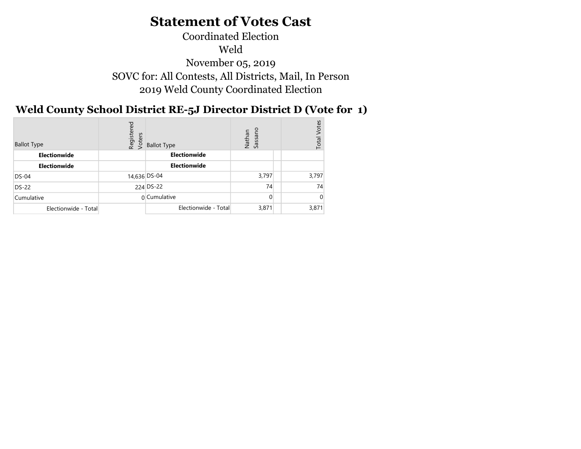## Coordinated Election Weld November 05, 2019 SOVC for: All Contests, All Districts, Mail, In Person 2019 Weld County Coordinated Election

## Weld County School District RE-5J Director District D (Vote for 1)

| <b>Ballot Type</b>   | red<br>Register<br>Voters | <b>Ballot Type</b>   | Sassano<br>Nathan | /otes<br>Total |
|----------------------|---------------------------|----------------------|-------------------|----------------|
| Electionwide         |                           | <b>Electionwide</b>  |                   |                |
| Electionwide         |                           | Electionwide         |                   |                |
| $DS-04$              |                           | 14,636 DS-04         | 3,797             | 3,797          |
| <b>DS-22</b>         |                           | 224 DS-22            | 74                | 74             |
| Cumulative           |                           | $0$ Cumulative       | $\Omega$          |                |
| Electionwide - Total |                           | Electionwide - Total | 3,871             | 3,871          |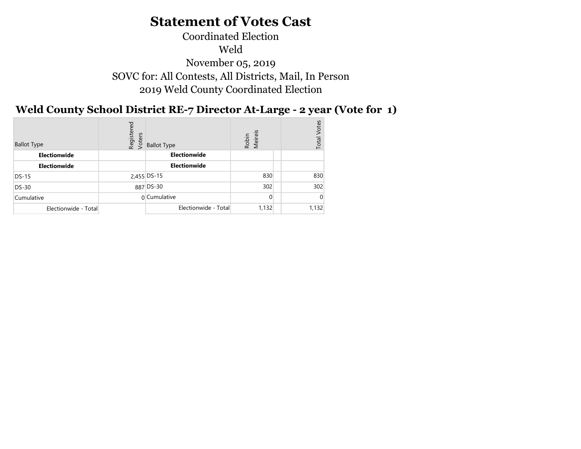## Coordinated Election Weld November 05, 2019 SOVC for: All Contests, All Districts, Mail, In Person 2019 Weld County Coordinated Election

## Weld County School District RE-7 Director At-Large - 2 year (Vote for 1)

| <b>Ballot Type</b>   | Registered<br>Voters | <b>Ballot Type</b>   | Meireis<br>Robin | Votes<br>Total |
|----------------------|----------------------|----------------------|------------------|----------------|
| Electionwide         |                      | Electionwide         |                  |                |
| <b>Electionwide</b>  |                      | Electionwide         |                  |                |
| $DS-15$              |                      | 2,455 DS-15          | 830              | 830            |
| <b>DS-30</b>         |                      | 887 DS-30            | 302              | 302            |
| Cumulative           |                      | 0 Cumulative         | $\Omega$         |                |
| Electionwide - Total |                      | Electionwide - Total | 1,132            | 1,132          |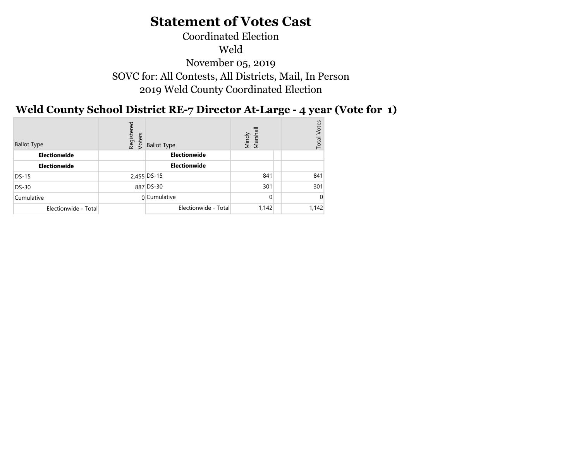## Coordinated Election Weld November 05, 2019 SOVC for: All Contests, All Districts, Mail, In Person 2019 Weld County Coordinated Election

## Weld County School District RE-7 Director At-Large - 4 year (Vote for 1)

| <b>Ballot Type</b>   | Registered<br>Voters | <b>Ballot Type</b>   | Mindy<br>Marshall | /otes<br>Total |
|----------------------|----------------------|----------------------|-------------------|----------------|
| Electionwide         |                      | Electionwide         |                   |                |
| <b>Electionwide</b>  |                      | Electionwide         |                   |                |
| $DS-15$              |                      | 2,455 DS-15          | 841               | 841            |
| <b>DS-30</b>         |                      | 887 DS-30            | 301               | 301            |
| Cumulative           |                      | 0 Cumulative         | $\Omega$          |                |
| Electionwide - Total |                      | Electionwide - Total | 1,142             | 1,142          |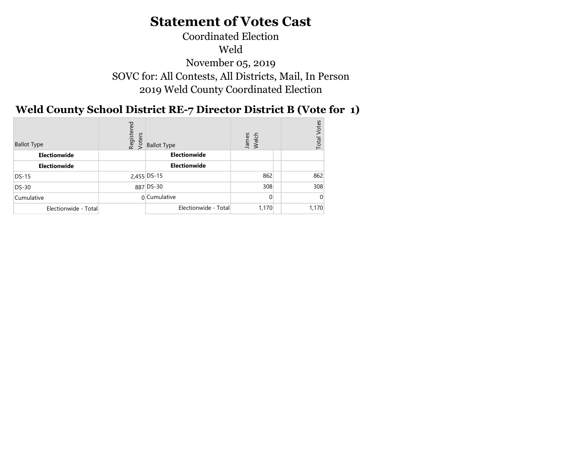## Coordinated Election Weld November 05, 2019 SOVC for: All Contests, All Districts, Mail, In Person 2019 Weld County Coordinated Election

## Weld County School District RE-7 Director District B (Vote for 1)

| <b>Ballot Type</b>   | Registered<br>Voters | <b>Ballot Type</b>   | James<br>Welch | /otes<br>Total |
|----------------------|----------------------|----------------------|----------------|----------------|
| Electionwide         |                      | Electionwide         |                |                |
| <b>Electionwide</b>  |                      | Electionwide         |                |                |
| $DS-15$              |                      | 2,455 DS-15          | 862            | 862            |
| <b>DS-30</b>         |                      | 887 DS-30            | 308            | 308            |
| Cumulative           |                      | 0 Cumulative         | $\Omega$       |                |
| Electionwide - Total |                      | Electionwide - Total | 1,170          | 1,170          |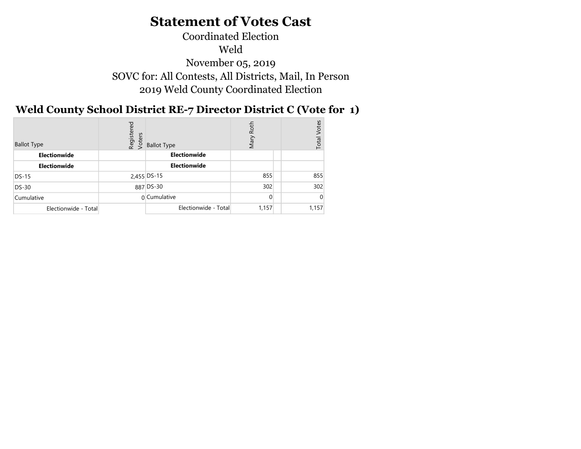## Coordinated Election Weld November 05, 2019 SOVC for: All Contests, All Districts, Mail, In Person 2019 Weld County Coordinated Election

#### Weld County School District RE-7 Director District C (Vote for 1)  $\mathbf{D}^{\dagger}$   $\mathbf{D}^{\dagger}$

| <b>Ballot Type</b>   | Registered<br>Voters | <b>Ballot Type</b>   | Roth<br>Nary | <b>Votes</b><br>Total |
|----------------------|----------------------|----------------------|--------------|-----------------------|
| Electionwide         |                      | Electionwide         |              |                       |
| Electionwide         |                      | Electionwide         |              |                       |
| $DS-15$              |                      | 2,455 DS-15          | 855          | 855                   |
| <b>DS-30</b>         |                      | 887 DS-30            | 302          | 302                   |
| Cumulative           |                      | 0 Cumulative         | $\Omega$     |                       |
| Electionwide - Total |                      | Electionwide - Total | 1,157        | 1,157                 |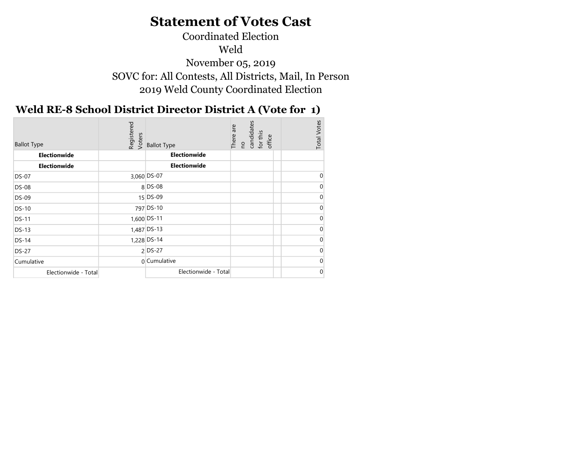## Coordinated Election Weld November 05, 2019 SOVC for: All Contests, All Districts, Mail, In Person 2019 Weld County Coordinated Election

## Weld RE-8 School District Director District A (Vote for 1)

| <b>Ballot Type</b>   | Registered<br>Voters | <b>Ballot Type</b>   | no<br>candidates<br>There are<br>for this<br>office | <b>Total Votes</b> |
|----------------------|----------------------|----------------------|-----------------------------------------------------|--------------------|
| Electionwide         |                      | Electionwide         |                                                     |                    |
|                      |                      | Electionwide         |                                                     |                    |
| <b>Electionwide</b>  |                      |                      |                                                     |                    |
| <b>DS-07</b>         |                      | 3,060 DS-07          |                                                     | $\Omega$           |
| <b>DS-08</b>         |                      | 8 DS-08              |                                                     |                    |
| <b>DS-09</b>         |                      | 15 DS-09             |                                                     |                    |
| <b>DS-10</b>         |                      | 797 DS-10            |                                                     |                    |
| <b>DS-11</b>         |                      | 1,600 DS-11          |                                                     |                    |
| <b>DS-13</b>         |                      | 1,487 DS-13          |                                                     |                    |
| <b>DS-14</b>         |                      | 1,228 DS-14          |                                                     |                    |
| <b>DS-27</b>         |                      | $2$ DS-27            |                                                     |                    |
| Cumulative           |                      | 0 Cumulative         |                                                     |                    |
| Electionwide - Total |                      | Electionwide - Total |                                                     | $\overline{0}$     |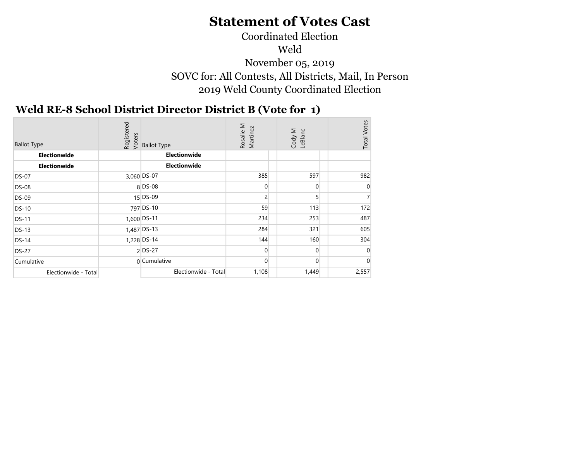## Coordinated Election Weld November 05, 2019 SOVC for: All Contests, All Districts, Mail, In Person 2019 Weld County Coordinated Election

#### $\mathbf{D}(\mathbf{r} \cdot \mathbf{r})$ Weld RE-8 School District Director District B (Vote for 1)

| <b>Ballot Type</b>   | Registered<br>Voters | <b>Ballot Type</b>   | Rosalie M<br>Martinez | Cody M<br>LeBlanc | <b>Total Votes</b> |
|----------------------|----------------------|----------------------|-----------------------|-------------------|--------------------|
| <b>Electionwide</b>  |                      | Electionwide         |                       |                   |                    |
| <b>Electionwide</b>  |                      | Electionwide         |                       |                   |                    |
| <b>DS-07</b>         |                      | 3,060 DS-07          | 385                   | 597               | 982                |
| <b>DS-08</b>         |                      | $8$ DS-08            | 0                     | $\overline{0}$    |                    |
| DS-09                |                      | $15$ DS-09           | $\overline{c}$        | 5                 |                    |
| DS-10                |                      | 797 DS-10            | 59                    | 113               | 172                |
| <b>DS-11</b>         |                      | 1,600 DS-11          | 234                   | 253               | 487                |
| <b>DS-13</b>         |                      | 1,487 DS-13          | 284                   | 321               | 605                |
| <b>DS-14</b>         |                      | 1,228 DS-14          | 144                   | 160               | 304                |
| <b>DS-27</b>         |                      | $2$ DS-27            | $\overline{0}$        | $\Omega$          | 0                  |
| Cumulative           |                      | 0 Cumulative         | $\Omega$              | $\overline{0}$    | $\Omega$           |
| Electionwide - Total |                      | Electionwide - Total | 1,108                 | 1,449             | 2,557              |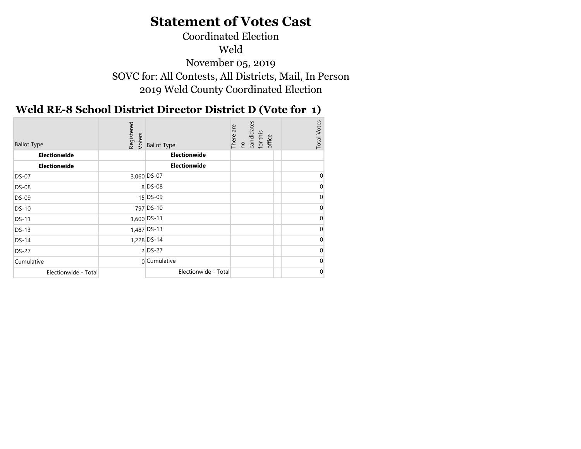## Coordinated Election Weld November 05, 2019 SOVC for: All Contests, All Districts, Mail, In Person 2019 Weld County Coordinated Election

## Weld RE-8 School District Director District D (Vote for 1)

| <b>Ballot Type</b>   | Registered<br>Voters |                      | no<br>candidates<br>There are<br>for this<br>office | <b>Total Votes</b> |
|----------------------|----------------------|----------------------|-----------------------------------------------------|--------------------|
|                      |                      | <b>Ballot Type</b>   |                                                     |                    |
| Electionwide         |                      | Electionwide         |                                                     |                    |
| <b>Electionwide</b>  |                      | Electionwide         |                                                     |                    |
| <b>DS-07</b>         |                      | 3,060 DS-07          |                                                     | U                  |
| <b>DS-08</b>         |                      | $8$ DS-08            |                                                     |                    |
| <b>DS-09</b>         |                      | 15 DS-09             |                                                     |                    |
| <b>DS-10</b>         |                      | 797 DS-10            |                                                     |                    |
| <b>DS-11</b>         |                      | 1,600 DS-11          |                                                     |                    |
| <b>DS-13</b>         |                      | 1,487 DS-13          |                                                     |                    |
| <b>DS-14</b>         |                      | 1,228 DS-14          |                                                     |                    |
| <b>DS-27</b>         |                      | $2$ DS-27            |                                                     |                    |
| Cumulative           |                      | 0 Cumulative         |                                                     |                    |
| Electionwide - Total |                      | Electionwide - Total |                                                     | $\overline{0}$     |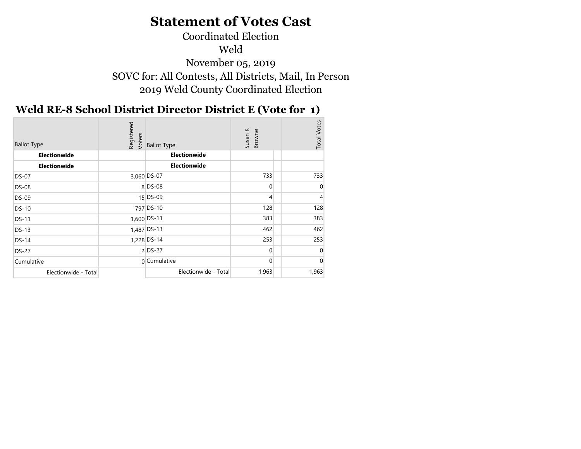### Coordinated Election Weld November 05, 2019 SOVC for: All Contests, All Districts, Mail, In Person 2019 Weld County Coordinated Election

#### Weld RE-8 School District Director District E (Vote for 1)  $\mathbb{R}^3$   $\mathbb{R}^3$

| <b>Ballot Type</b>   | Registered<br>Voters | <b>Ballot Type</b>   | Susan K<br>Browne | <b>Total Votes</b> |
|----------------------|----------------------|----------------------|-------------------|--------------------|
| Electionwide         |                      | Electionwide         |                   |                    |
| <b>Electionwide</b>  |                      | Electionwide         |                   |                    |
| <b>DS-07</b>         |                      | 3,060 DS-07          | 733               | 733                |
| <b>DS-08</b>         |                      | $8$ DS-08            | $\overline{0}$    |                    |
| <b>DS-09</b>         |                      | $15$ DS-09           | 4                 |                    |
| <b>DS-10</b>         |                      | 797 DS-10            | 128               | 128                |
| <b>DS-11</b>         |                      | 1,600 DS-11          | 383               | 383                |
| <b>DS-13</b>         |                      | 1,487 DS-13          | 462               | 462                |
| <b>DS-14</b>         |                      | 1,228 DS-14          | 253               | 253                |
| <b>DS-27</b>         |                      | $2$ DS-27            | $\Omega$          |                    |
| Cumulative           |                      | 0 Cumulative         | 0                 |                    |
| Electionwide - Total |                      | Electionwide - Total | 1,963             | 1,963              |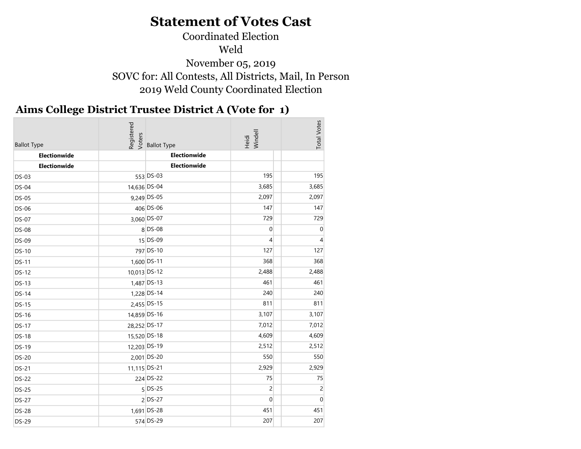### Coordinated Election Weld November 05, 2019 SOVC for: All Contests, All Districts, Mail, In Person 2019 Weld County Coordinated Election

#### Aims College District Trustee District A (Vote for 1)

| <b>Ballot Type</b> | Registered<br>Voters | <b>Ballot Type</b> | Heidi<br>Windell | <b>Total Votes</b> |
|--------------------|----------------------|--------------------|------------------|--------------------|
| Electionwide       |                      | Electionwide       |                  |                    |
| Electionwide       |                      | Electionwide       |                  |                    |
| $DS-03$            |                      | 553 DS-03          | 195              | 195                |
| <b>DS-04</b>       | 14,636 DS-04         |                    | 3,685            | 3,685              |
| <b>DS-05</b>       |                      | 9,249 DS-05        | 2,097            | 2,097              |
| DS-06              |                      | 406 DS-06          | 147              | 147                |
| <b>DS-07</b>       |                      | 3,060 DS-07        | 729              | 729                |
| <b>DS-08</b>       |                      | 8 DS-08            | $\mathbf 0$      | $\mathbf 0$        |
| <b>DS-09</b>       |                      | 15 DS-09           | 4                | 4                  |
| <b>DS-10</b>       |                      | 797 DS-10          | 127              | 127                |
| <b>DS-11</b>       |                      | 1,600 DS-11        | 368              | 368                |
| <b>DS-12</b>       | 10,013 DS-12         |                    | 2,488            | 2,488              |
| <b>DS-13</b>       |                      | 1,487 DS-13        | 461              | 461                |
| <b>DS-14</b>       |                      | 1,228 DS-14        | 240              | 240                |
| <b>DS-15</b>       |                      | 2,455 DS-15        | 811              | 811                |
| <b>DS-16</b>       | 14,859 DS-16         |                    | 3,107            | 3,107              |
| <b>DS-17</b>       | 28,252 DS-17         |                    | 7,012            | 7,012              |
| <b>DS-18</b>       | 15,520 DS-18         |                    | 4,609            | 4,609              |
| <b>DS-19</b>       | 12,203 DS-19         |                    | 2,512            | 2,512              |
| <b>DS-20</b>       |                      | 2,001 DS-20        | 550              | 550                |
| <b>DS-21</b>       | 11,115 DS-21         |                    | 2,929            | 2,929              |
| <b>DS-22</b>       |                      | 224 DS-22          | 75               | 75                 |
| <b>DS-25</b>       |                      | $5$ DS-25          | $\overline{c}$   | $\overline{c}$     |
| <b>DS-27</b>       |                      | $2$ DS-27          | $\overline{0}$   | $\mathbf 0$        |
| <b>DS-28</b>       |                      | 1,691 DS-28        | 451              | 451                |
| <b>DS-29</b>       |                      | 574 DS-29          | 207              | 207                |
|                    |                      |                    |                  |                    |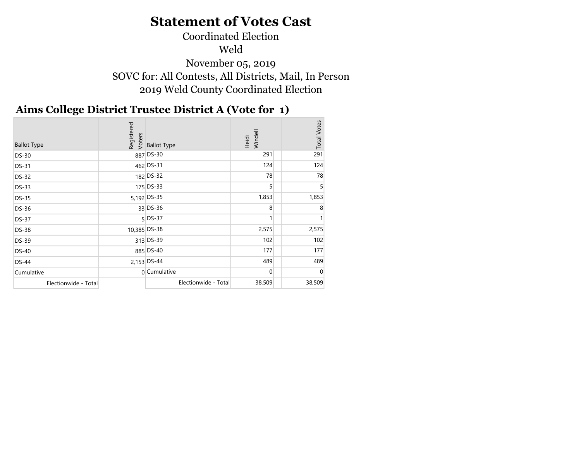#### Coordinated Election Weld November 05, 2019 SOVC for: All Contests, All Districts, Mail, In Person 2019 Weld County Coordinated Election

#### Aims College District Trustee District A (Vote for 1)

| <b>Ballot Type</b>   | Registered   | $\frac{6}{5}$ Ballot Type | Heidi<br>Windell | <b>Total Votes</b> |
|----------------------|--------------|---------------------------|------------------|--------------------|
| <b>DS-30</b>         |              | 887 DS-30                 | 291              | 291                |
| <b>DS-31</b>         |              | 462 DS-31                 | 124              | 124                |
| <b>DS-32</b>         |              | 182 DS-32                 | 78               | 78                 |
| <b>DS-33</b>         |              | 175 DS-33                 | 5                |                    |
| <b>DS-35</b>         |              | 5,192 DS-35               | 1,853            | 1,853              |
| <b>DS-36</b>         |              | 33 DS-36                  | 8                |                    |
| <b>DS-37</b>         |              | $5$ DS-37                 |                  |                    |
| <b>DS-38</b>         | 10,385 DS-38 |                           | 2,575            | 2,575              |
| <b>DS-39</b>         |              | 313 DS-39                 | 102              | 102                |
| <b>DS-40</b>         |              | 885 DS-40                 | 177              | 177                |
| <b>DS-44</b>         |              | 2,153 DS-44               | 489              | 489                |
| Cumulative           |              | 0 Cumulative              | $\Omega$         | $\Omega$           |
| Electionwide - Total |              | Electionwide - Total      | 38,509           | 38,509             |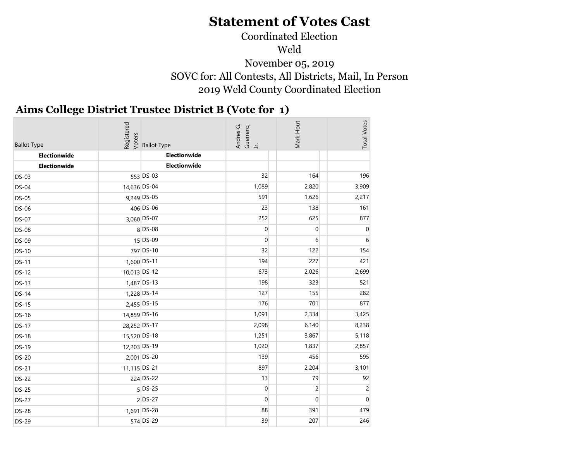# Coordinated Election

Weld

November 05, 2019 SOVC for: All Contests, All Districts, Mail, In Person 2019 Weld County Coordinated Election

#### Aims College District Trustee District B (Vote for 1)  $\sim$  2019

| <b>Ballot Type</b> | Registered<br>Voters | <b>Ballot Type</b> | Andres G.<br>Guerrero,<br>Jr. | Mark Hout        | <b>Total Votes</b> |
|--------------------|----------------------|--------------------|-------------------------------|------------------|--------------------|
| Electionwide       |                      | Electionwide       |                               |                  |                    |
| Electionwide       |                      | Electionwide       |                               |                  |                    |
| <b>DS-03</b>       |                      | 553 DS-03          | 32                            | 164              | 196                |
| <b>DS-04</b>       | 14,636 DS-04         |                    | 1,089                         | 2,820            | 3,909              |
| <b>DS-05</b>       |                      | 9,249 DS-05        | 591                           | 1,626            | 2,217              |
| <b>DS-06</b>       |                      | 406 DS-06          | 23                            | 138              | 161                |
| <b>DS-07</b>       |                      | 3,060 DS-07        | 252                           | 625              | 877                |
| <b>DS-08</b>       |                      | 8 DS-08            | $\overline{0}$                | $\overline{0}$   | $\boldsymbol{0}$   |
| <b>DS-09</b>       |                      | 15 DS-09           | $\overline{0}$                | $6 \overline{6}$ | 6                  |
| <b>DS-10</b>       |                      | 797 DS-10          | 32                            | 122              | 154                |
| <b>DS-11</b>       |                      | 1,600 DS-11        | 194                           | 227              | 421                |
| <b>DS-12</b>       | 10,013 DS-12         |                    | 673                           | 2,026            | 2,699              |
| <b>DS-13</b>       |                      | 1,487 DS-13        | 198                           | 323              | 521                |
| <b>DS-14</b>       |                      | 1,228 DS-14        | 127                           | 155              | 282                |
| <b>DS-15</b>       |                      | 2,455 DS-15        | 176                           | 701              | 877                |
| <b>DS-16</b>       | 14,859 DS-16         |                    | 1,091                         | 2,334            | 3,425              |
| <b>DS-17</b>       | 28,252 DS-17         |                    | 2,098                         | 6,140            | 8,238              |
| <b>DS-18</b>       | 15,520 DS-18         |                    | 1,251                         | 3,867            | 5,118              |
| <b>DS-19</b>       | 12,203 DS-19         |                    | 1,020                         | 1,837            | 2,857              |
| <b>DS-20</b>       |                      | 2,001 DS-20        | 139                           | 456              | 595                |
| <b>DS-21</b>       | 11,115 DS-21         |                    | 897                           | 2,204            | 3,101              |
| <b>DS-22</b>       |                      | 224 DS-22          | 13                            | 79               | 92                 |
| <b>DS-25</b>       |                      | $5$ DS-25          | $\overline{0}$                | $\overline{2}$   | $\overline{2}$     |
| <b>DS-27</b>       |                      | $2$ DS-27          | $\boldsymbol{0}$              | $\overline{0}$   | $\boldsymbol{0}$   |
| <b>DS-28</b>       |                      | 1,691 DS-28        | 88                            | 391              | 479                |
| <b>DS-29</b>       |                      | 574 DS-29          | 39                            | 207              | 246                |
|                    |                      |                    |                               |                  |                    |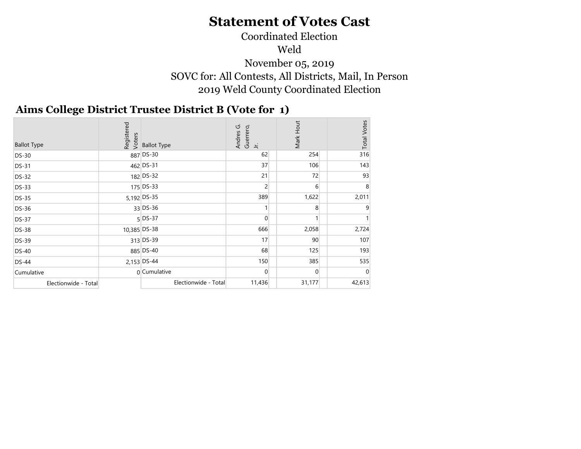## Coordinated Election

Weld

November 05, 2019 SOVC for: All Contests, All Districts, Mail, In Person 2019 Weld County Coordinated Election

#### Aims College District Trustee District B (Vote for 1)  $\sim$  2019  $\sim$

| <b>Ballot Type</b>   |              | edistered<br>Resigned<br>Resigned Shallot Type | ပ<br>Guerrero,<br>Andres<br>$\equiv$ | Mark Hout      | <b>Total Votes</b> |
|----------------------|--------------|------------------------------------------------|--------------------------------------|----------------|--------------------|
| <b>DS-30</b>         |              | 887 DS-30                                      | 62                                   | 254            | 316                |
| <b>DS-31</b>         |              | 462 DS-31                                      | 37                                   | 106            | 143                |
| <b>DS-32</b>         |              | 182 DS-32                                      | 21                                   | 72             | 93                 |
| <b>DS-33</b>         |              | 175 DS-33                                      | 2                                    | 6              | 8                  |
| <b>DS-35</b>         |              | 5,192 DS-35                                    | 389                                  | 1,622          | 2,011              |
| <b>DS-36</b>         |              | 33 DS-36                                       |                                      | 8              |                    |
| <b>DS-37</b>         |              | 5 DS-37                                        | $\Omega$                             |                |                    |
| <b>DS-38</b>         | 10,385 DS-38 |                                                | 666                                  | 2,058          | 2,724              |
| <b>DS-39</b>         |              | 313 DS-39                                      | 17                                   | 90             | 107                |
| <b>DS-40</b>         |              | 885 DS-40                                      | 68                                   | 125            | 193                |
| <b>DS-44</b>         |              | 2,153 DS-44                                    | 150                                  | 385            | 535                |
| Cumulative           |              | $0$ Cumulative                                 | $\Omega$                             | $\overline{0}$ |                    |
| Electionwide - Total |              | Electionwide - Total                           | 11,436                               | 31,177         | 42,613             |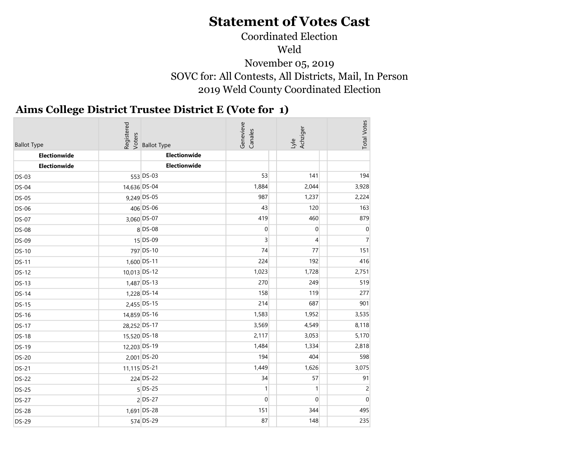#### Coordinated Election Weld November 05, 2019 SOVC for: All Contests, All Districts, Mail, In Person 2019 Weld County Coordinated Election

#### Aims College District Trustee District E (Vote for 1)  $\sim$  2019

| <b>Ballot Type</b> | Registered<br>Voters | <b>Ballot Type</b> | Genevieve<br>Canales | Lyle<br>Achziger | <b>Total Votes</b> |
|--------------------|----------------------|--------------------|----------------------|------------------|--------------------|
| Electionwide       |                      | Electionwide       |                      |                  |                    |
| Electionwide       |                      | Electionwide       |                      |                  |                    |
| <b>DS-03</b>       |                      | 553 DS-03          | 53                   | 141              | 194                |
| <b>DS-04</b>       | 14,636 DS-04         |                    | 1,884                | 2,044            | 3,928              |
| <b>DS-05</b>       |                      | 9,249 DS-05        | 987                  | 1,237            | 2,224              |
| <b>DS-06</b>       |                      | 406 DS-06          | 43                   | 120              | 163                |
| <b>DS-07</b>       |                      | 3,060 DS-07        | 419                  | 460              | 879                |
| <b>DS-08</b>       |                      | 8 DS-08            | $\overline{0}$       | $\overline{0}$   | $\boldsymbol{0}$   |
| <b>DS-09</b>       |                      | 15 DS-09           | $\overline{3}$       | $\overline{4}$   | $\overline{7}$     |
| <b>DS-10</b>       |                      | 797 DS-10          | 74                   | 77               | 151                |
| <b>DS-11</b>       |                      | 1,600 DS-11        | 224                  | 192              | 416                |
| <b>DS-12</b>       | 10,013 DS-12         |                    | 1,023                | 1,728            | 2,751              |
| <b>DS-13</b>       |                      | 1,487 DS-13        | 270                  | 249              | 519                |
| <b>DS-14</b>       |                      | 1,228 DS-14        | 158                  | 119              | 277                |
| <b>DS-15</b>       |                      | 2,455 DS-15        | 214                  | 687              | 901                |
| <b>DS-16</b>       | 14,859 DS-16         |                    | 1,583                | 1,952            | 3,535              |
| <b>DS-17</b>       | 28,252 DS-17         |                    | 3,569                | 4,549            | 8,118              |
| <b>DS-18</b>       | 15,520 DS-18         |                    | 2,117                | 3,053            | 5,170              |
| <b>DS-19</b>       | 12,203 DS-19         |                    | 1,484                | 1,334            | 2,818              |
| <b>DS-20</b>       |                      | 2,001 DS-20        | 194                  | 404              | 598                |
| <b>DS-21</b>       | 11,115 DS-21         |                    | 1,449                | 1,626            | 3,075              |
| <b>DS-22</b>       |                      | 224 DS-22          | 34                   | 57               | 91                 |
| <b>DS-25</b>       |                      | $5$ DS-25          | $\vert$              | 1                | $\overline{2}$     |
| <b>DS-27</b>       |                      | $2$ DS-27          | $\overline{0}$       | $\overline{0}$   | $\boldsymbol{0}$   |
| <b>DS-28</b>       |                      | 1,691 DS-28        | 151                  | 344              | 495                |
| <b>DS-29</b>       |                      | 574 DS-29          | 87                   | 148              | 235                |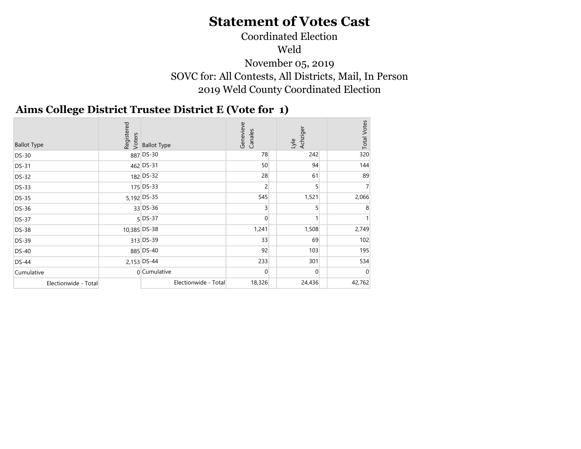### Coordinated Election Weld November 05, 2019 SOVC for: All Contests, All Districts, Mail, In Person 2019 Weld County Coordinated Election

#### Aims College District Trustee District E (Vote for 1)  $\sim$   $\sim$

| <b>Ballot Type</b>   |              | edistered<br>Resister<br>Resister<br>Resisted Type | Genevieve<br>Canales | Achziger<br>Lyle | <b>Total Votes</b> |
|----------------------|--------------|----------------------------------------------------|----------------------|------------------|--------------------|
| <b>DS-30</b>         |              | 887 DS-30                                          | 78                   | 242              | 320                |
| <b>DS-31</b>         |              | 462 DS-31                                          | 50                   | 94               | 144                |
| <b>DS-32</b>         |              | 182 DS-32                                          | 28                   | 61               | 89                 |
| <b>DS-33</b>         |              | 175 DS-33                                          | 2                    | 5                |                    |
| <b>DS-35</b>         |              | 5,192 DS-35                                        | 545                  | 1,521            | 2,066              |
| <b>DS-36</b>         |              | $33$ DS-36                                         | $\overline{3}$       |                  | 8                  |
| <b>DS-37</b>         |              | 5 DS-37                                            | $\overline{0}$       |                  |                    |
| <b>DS-38</b>         | 10,385 DS-38 |                                                    | 1,241                | 1,508            | 2,749              |
| <b>DS-39</b>         |              | 313 DS-39                                          | 33                   | 69               | 102                |
| <b>DS-40</b>         |              | 885 DS-40                                          | 92                   | 103              | 195                |
| <b>DS-44</b>         |              | 2,153 DS-44                                        | 233                  | 301              | 534                |
| Cumulative           |              | $0$ Cumulative                                     | $\Omega$             | $\Omega$         | 0                  |
| Electionwide - Total |              | Electionwide - Total                               | 18,326               | 24,436           | 42,762             |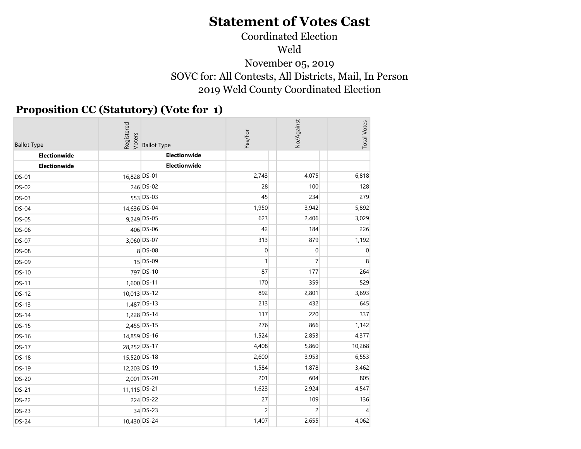## Coordinated Election Weld November 05, 2019 SOVC for: All Contests, All Districts, Mail, In Person 2019 Weld County Coordinated Election

## Proposition CC (Statutory) (Vote for 1)

| <b>Ballot Type</b> | Registered<br>Voters | <b>Ballot Type</b> | Yes/For        | No/Against     | <b>Total Votes</b> |
|--------------------|----------------------|--------------------|----------------|----------------|--------------------|
| Electionwide       |                      | Electionwide       |                |                |                    |
| Electionwide       |                      | Electionwide       |                |                |                    |
| <b>DS-01</b>       | 16,828 DS-01         |                    | 2,743          | 4,075          | 6,818              |
| <b>DS-02</b>       |                      | 246 DS-02          | 28             | 100            | 128                |
| <b>DS-03</b>       |                      | 553 DS-03          | 45             | 234            | 279                |
| <b>DS-04</b>       | 14,636 DS-04         |                    | 1,950          | 3,942          | 5,892              |
| <b>DS-05</b>       |                      | 9,249 DS-05        | 623            | 2,406          | 3,029              |
| <b>DS-06</b>       |                      | 406 DS-06          | 42             | 184            | 226                |
| <b>DS-07</b>       |                      | 3,060 DS-07        | 313            | 879            | 1,192              |
| <b>DS-08</b>       |                      | 8 DS-08            | $\pmb{0}$      | $\overline{0}$ | $\boldsymbol{0}$   |
| <b>DS-09</b>       |                      | 15 DS-09           | $\mathbf{1}$   | $\overline{7}$ | $\,8\,$            |
| <b>DS-10</b>       |                      | 797 DS-10          | 87             | 177            | 264                |
| <b>DS-11</b>       |                      | 1,600 DS-11        | 170            | 359            | 529                |
| <b>DS-12</b>       | 10,013 DS-12         |                    | 892            | 2,801          | 3,693              |
| <b>DS-13</b>       |                      | 1,487 DS-13        | 213            | 432            | 645                |
| <b>DS-14</b>       |                      | 1,228 DS-14        | 117            | 220            | 337                |
| <b>DS-15</b>       |                      | 2,455 DS-15        | 276            | 866            | 1,142              |
| <b>DS-16</b>       | 14,859 DS-16         |                    | 1,524          | 2,853          | 4,377              |
| <b>DS-17</b>       | 28,252 DS-17         |                    | 4,408          | 5,860          | 10,268             |
| <b>DS-18</b>       | 15,520 DS-18         |                    | 2,600          | 3,953          | 6,553              |
| <b>DS-19</b>       | 12,203 DS-19         |                    | 1,584          | 1,878          | 3,462              |
| <b>DS-20</b>       |                      | 2,001 DS-20        | 201            | 604            | 805                |
| <b>DS-21</b>       | 11,115 DS-21         |                    | 1,623          | 2,924          | 4,547              |
| <b>DS-22</b>       |                      | 224 DS-22          | 27             | 109            | 136                |
| <b>DS-23</b>       |                      | 34 DS-23           | $\overline{2}$ | $\overline{2}$ | $\overline{4}$     |
| <b>DS-24</b>       | 10,430 DS-24         |                    | 1,407          | 2,655          | 4,062              |
|                    |                      |                    |                |                |                    |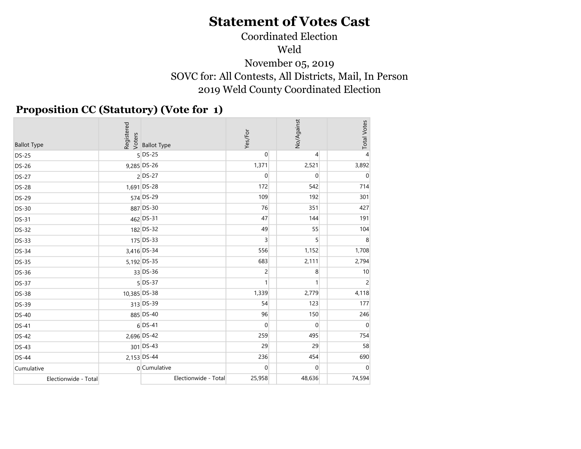## Coordinated Election Weld November 05, 2019 SOVC for: All Contests, All Districts, Mail, In Person 2019 Weld County Coordinated Election

#### Proposition CC (Statutory) (Vote for 1)

| <b>Ballot Type</b>   | Registered<br>Voters | <b>Ballot Type</b>   | Yes/For        | No/Against     | <b>Total Votes</b> |
|----------------------|----------------------|----------------------|----------------|----------------|--------------------|
| <b>DS-25</b>         |                      | $5$ DS-25            | $\overline{0}$ | $\overline{4}$ | $\overline{4}$     |
| <b>DS-26</b>         |                      | 9,285 DS-26          | 1,371          | 2,521          | 3,892              |
| <b>DS-27</b>         |                      | 2 DS-27              | $\overline{0}$ | $\overline{0}$ | $\mathbf 0$        |
| <b>DS-28</b>         |                      | 1,691 DS-28          | 172            | 542            | 714                |
| <b>DS-29</b>         |                      | 574 DS-29            | 109            | 192            | 301                |
| <b>DS-30</b>         |                      | 887 DS-30            | 76             | 351            | 427                |
| <b>DS-31</b>         |                      | 462 DS-31            | 47             | 144            | 191                |
| <b>DS-32</b>         |                      | 182 DS-32            | 49             | 55             | 104                |
| <b>DS-33</b>         |                      | 175 DS-33            | $\overline{3}$ | 5 <sup>1</sup> | 8                  |
| <b>DS-34</b>         |                      | 3,416 DS-34          | 556            | 1,152          | 1,708              |
| <b>DS-35</b>         |                      | 5,192 DS-35          | 683            | 2,111          | 2,794              |
| <b>DS-36</b>         |                      | 33 DS-36             | $\overline{2}$ | 8              | 10                 |
| <b>DS-37</b>         |                      | $5$ DS-37            | 1              |                | $\overline{c}$     |
| <b>DS-38</b>         | 10,385 DS-38         |                      | 1,339          | 2,779          | 4,118              |
| <b>DS-39</b>         |                      | 313 DS-39            | 54             | 123            | 177                |
| DS-40                |                      | 885 DS-40            | 96             | 150            | 246                |
| DS-41                |                      | $6$ DS-41            | $\overline{0}$ | $\overline{0}$ | $\mathbf 0$        |
| DS-42                |                      | 2,696 DS-42          | 259            | 495            | 754                |
| DS-43                |                      | 301 DS-43            | 29             | 29             | 58                 |
| <b>DS-44</b>         |                      | 2,153 DS-44          | 236            | 454            | 690                |
| Cumulative           |                      | 0 Cumulative         | $\overline{0}$ | $\overline{0}$ | $\mathbf{0}$       |
| Electionwide - Total |                      | Electionwide - Total | 25,958         | 48,636         | 74,594             |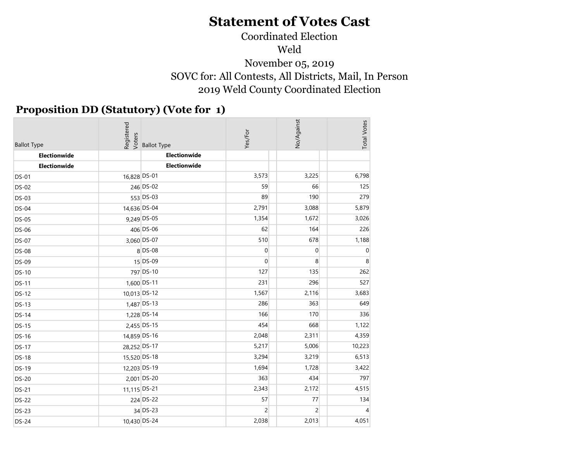## Coordinated Election Weld November 05, 2019 SOVC for: All Contests, All Districts, Mail, In Person 2019 Weld County Coordinated Election

## Proposition DD (Statutory) (Vote for 1)

| <b>Ballot Type</b> | Registered<br>Voters | <b>Ballot Type</b> | Yes/For        | No/Against     | <b>Total Votes</b> |
|--------------------|----------------------|--------------------|----------------|----------------|--------------------|
| Electionwide       |                      | Electionwide       |                |                |                    |
| Electionwide       |                      | Electionwide       |                |                |                    |
| <b>DS-01</b>       | 16,828 DS-01         |                    | 3,573          | 3,225          | 6,798              |
| <b>DS-02</b>       |                      | 246 DS-02          | 59             | 66             | 125                |
| <b>DS-03</b>       |                      | 553 DS-03          | 89             | 190            | 279                |
| <b>DS-04</b>       | 14,636 DS-04         |                    | 2,791          | 3,088          | 5,879              |
| <b>DS-05</b>       |                      | 9,249 DS-05        | 1,354          | 1,672          | 3,026              |
| <b>DS-06</b>       |                      | 406 DS-06          | 62             | 164            | 226                |
| <b>DS-07</b>       |                      | 3,060 DS-07        | 510            | 678            | 1,188              |
| <b>DS-08</b>       |                      | 8 DS-08            | $\overline{0}$ | $\overline{0}$ | $\boldsymbol{0}$   |
| <b>DS-09</b>       |                      | 15 DS-09           | $\mathbf{0}$   | 8              | $\,8\,$            |
| <b>DS-10</b>       |                      | 797 DS-10          | 127            | 135            | 262                |
| <b>DS-11</b>       |                      | 1,600 DS-11        | 231            | 296            | 527                |
| <b>DS-12</b>       | 10,013 DS-12         |                    | 1,567          | 2,116          | 3,683              |
| <b>DS-13</b>       |                      | 1,487 DS-13        | 286            | 363            | 649                |
| <b>DS-14</b>       |                      | 1,228 DS-14        | 166            | 170            | 336                |
| <b>DS-15</b>       |                      | 2,455 DS-15        | 454            | 668            | 1,122              |
| <b>DS-16</b>       | 14,859 DS-16         |                    | 2,048          | 2,311          | 4,359              |
| <b>DS-17</b>       | 28,252 DS-17         |                    | 5,217          | 5,006          | 10,223             |
| <b>DS-18</b>       | 15,520 DS-18         |                    | 3,294          | 3,219          | 6,513              |
| <b>DS-19</b>       | 12,203 DS-19         |                    | 1,694          | 1,728          | 3,422              |
| <b>DS-20</b>       |                      | 2,001 DS-20        | 363            | 434            | 797                |
| <b>DS-21</b>       | 11,115 DS-21         |                    | 2,343          | 2,172          | 4,515              |
| <b>DS-22</b>       |                      | 224 DS-22          | 57             | $77$           | 134                |
| <b>DS-23</b>       |                      | 34 DS-23           | $\overline{2}$ | $\overline{2}$ | $\overline{4}$     |
| <b>DS-24</b>       | 10,430 DS-24         |                    | 2,038          | 2,013          | 4,051              |
|                    |                      |                    |                |                |                    |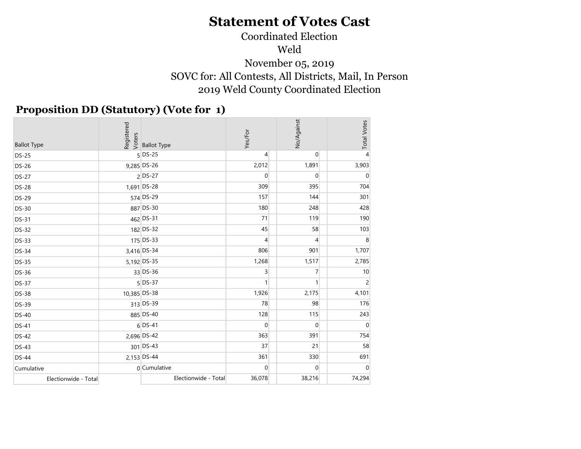## Coordinated Election Weld November 05, 2019 SOVC for: All Contests, All Districts, Mail, In Person 2019 Weld County Coordinated Election

#### Proposition DD (Statutory) (Vote for 1)

| <b>Ballot Type</b>   |              | egistered<br>Rejsters<br>Rejstered Ballot Type | Yes/For      | No/Against     | <b>Total Votes</b> |
|----------------------|--------------|------------------------------------------------|--------------|----------------|--------------------|
| <b>DS-25</b>         |              | $5$ DS-25                                      | 4            | $\overline{0}$ | $\overline{4}$     |
| <b>DS-26</b>         |              | 9,285 DS-26                                    | 2,012        | 1,891          | 3,903              |
| <b>DS-27</b>         |              | 2 DS-27                                        | 0            | $\overline{0}$ | $\mathbf 0$        |
| <b>DS-28</b>         |              | 1,691 DS-28                                    | 309          | 395            | 704                |
| <b>DS-29</b>         |              | 574 DS-29                                      | 157          | 144            | 301                |
| <b>DS-30</b>         |              | 887 DS-30                                      | 180          | 248            | 428                |
| <b>DS-31</b>         |              | 462 DS-31                                      | 71           | 119            | 190                |
| <b>DS-32</b>         |              | 182 DS-32                                      | 45           | 58             | 103                |
| <b>DS-33</b>         |              | 175 DS-33                                      | 4            | 4              | 8                  |
| <b>DS-34</b>         |              | 3,416 DS-34                                    | 806          | 901            | 1,707              |
| <b>DS-35</b>         |              | 5,192 DS-35                                    | 1,268        | 1,517          | 2,785              |
| <b>DS-36</b>         |              | 33 DS-36                                       | 3            | $\overline{7}$ | 10                 |
| <b>DS-37</b>         |              | $5$ DS-37                                      | $\mathbf{1}$ | $\mathbf{1}$   | $\overline{c}$     |
| <b>DS-38</b>         | 10,385 DS-38 |                                                | 1,926        | 2,175          | 4,101              |
| <b>DS-39</b>         |              | 313 DS-39                                      | 78           | 98             | 176                |
| <b>DS-40</b>         |              | 885 DS-40                                      | 128          | 115            | 243                |
| <b>DS-41</b>         |              | $6$ DS-41                                      | 0            | $\overline{0}$ | $\boldsymbol{0}$   |
| <b>DS-42</b>         |              | 2,696 DS-42                                    | 363          | 391            | 754                |
| <b>DS-43</b>         |              | 301 DS-43                                      | 37           | 21             | 58                 |
| <b>DS-44</b>         |              | 2,153 DS-44                                    | 361          | 330            | 691                |
| Cumulative           |              | 0 Cumulative                                   | $\mathbf{0}$ | $\overline{0}$ | $\mathbf 0$        |
| Electionwide - Total |              | Electionwide - Total                           | 36,078       | 38,216         | 74,294             |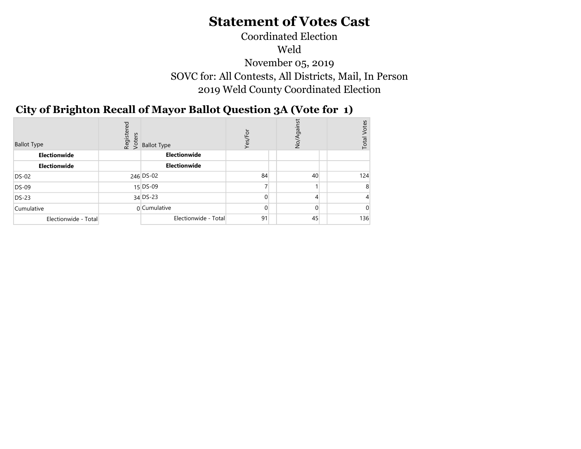## Coordinated Election Weld November 05, 2019 SOVC for: All Contests, All Districts, Mail, In Person 2019 Weld County Coordinated Election

#### $\sim$   $\sim$   $\sim$   $\sim$   $\sim$ City of Brighton Recall of Mayor Ballot Question 3A (Vote for 1)

| <b>Ballot Type</b>   | Registered<br>Voters | <b>Ballot Type</b>   | Yes/For        | gainst<br>$\frac{5}{2}$ | <b>Votes</b><br>Total |
|----------------------|----------------------|----------------------|----------------|-------------------------|-----------------------|
| Electionwide         |                      | Electionwide         |                |                         |                       |
| Electionwide         |                      | Electionwide         |                |                         |                       |
| DS-02                |                      | 246 DS-02            | 84             | 40                      | 124                   |
| $DS-09$              |                      | $15$ DS-09           | $\overline{ }$ |                         | ö                     |
| $DS-23$              |                      | $34$ DS-23           | $\Omega$       | 4                       |                       |
| Cumulative           |                      | 0 Cumulative         | $\Omega$       | $\Omega$                |                       |
| Electionwide - Total |                      | Electionwide - Total | 91             | 45                      | 136                   |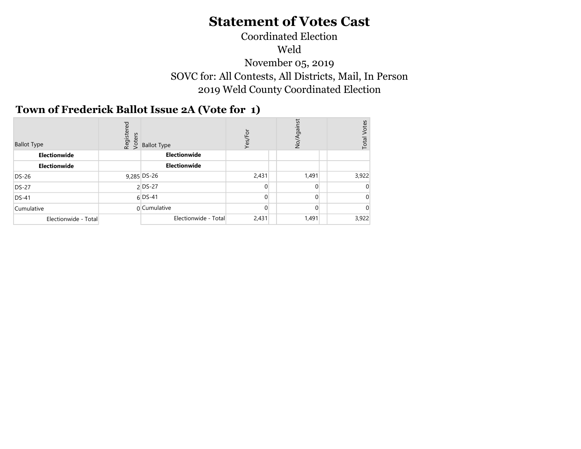## Coordinated Election Weld November 05, 2019 SOVC for: All Contests, All Districts, Mail, In Person 2019 Weld County Coordinated Election

#### $\mathcal{L}$ Town of Frederick Ballot Issue 2A (Vote for 1)

| <b>Ballot Type</b>   | red<br>Register<br>Voters | <b>Ballot Type</b>   | Yes/For        | ing<br>No/ | /otes<br>Total |
|----------------------|---------------------------|----------------------|----------------|------------|----------------|
| Electionwide         |                           | Electionwide         |                |            |                |
| Electionwide         |                           | Electionwide         |                |            |                |
| DS-26                |                           | 9,285 DS-26          | 2,431          | 1,491      | 3,922          |
| <b>DS-27</b>         |                           | 2 DS-27              | 0              | $\Omega$   |                |
| $DS-41$              |                           | $6$ DS-41            | $\overline{0}$ | $\Omega$   |                |
| Cumulative           |                           | $0$ Cumulative       | 0              | 0          |                |
| Electionwide - Total |                           | Electionwide - Total | 2,431          | 1,491      | 3,922          |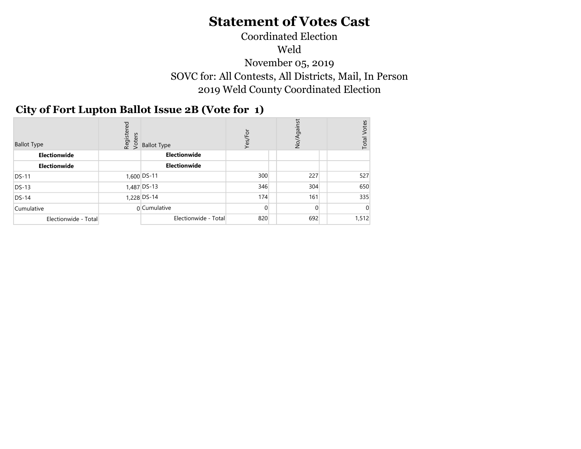## Coordinated Election Weld November 05, 2019 SOVC for: All Contests, All Districts, Mail, In Person 2019 Weld County Coordinated Election

#### $N<sub>2</sub>$ City of Fort Lupton Ballot Issue 2B (Vote for 1)

| <b>Ballot Type</b>   | Registered<br>Voters | <b>Ballot Type</b>   | Yes/For  | No/Against | Votes<br>Total |
|----------------------|----------------------|----------------------|----------|------------|----------------|
| Electionwide         |                      | Electionwide         |          |            |                |
| Electionwide         |                      | <b>Electionwide</b>  |          |            |                |
| <b>DS-11</b>         |                      | 1,600 DS-11          | 300      | 227        | 527            |
| <b>DS-13</b>         |                      | 1,487 DS-13          | 346      | 304        | 650            |
| $DS-14$              |                      | 1,228 DS-14          | 174      | 161        | 335            |
| Cumulative           |                      | 0 Cumulative         | $\Omega$ |            |                |
| Electionwide - Total |                      | Electionwide - Total | 820      | 692        | 1,512          |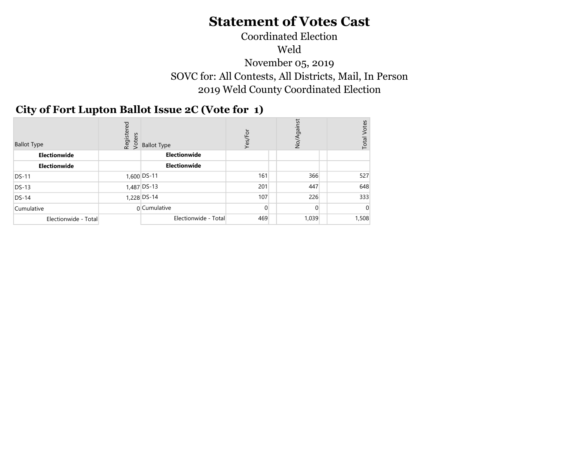## Coordinated Election Weld November 05, 2019 SOVC for: All Contests, All Districts, Mail, In Person 2019 Weld County Coordinated Election

#### November 5, 2019 City of Fort Lupton Ballot Issue 2C (Vote for 1)

| <b>Ballot Type</b>   | Registered<br>Voters | <b>Ballot Type</b>   | Yes/For        | gainst<br>No/A | Votes<br>Total |
|----------------------|----------------------|----------------------|----------------|----------------|----------------|
| Electionwide         |                      | Electionwide         |                |                |                |
| Electionwide         |                      | <b>Electionwide</b>  |                |                |                |
| <b>DS-11</b>         |                      | 1,600 DS-11          | 161            | 366            | 527            |
| $DS-13$              |                      | $1,487$ DS-13        | 201            | 447            | 648            |
| $DS-14$              |                      | 1,228 DS-14          | 107            | 226            | 333            |
| Cumulative           |                      | 0 Cumulative         | $\overline{0}$ | $\Omega$       |                |
| Electionwide - Total |                      | Electionwide - Total | 469            | 1,039          | 1,508          |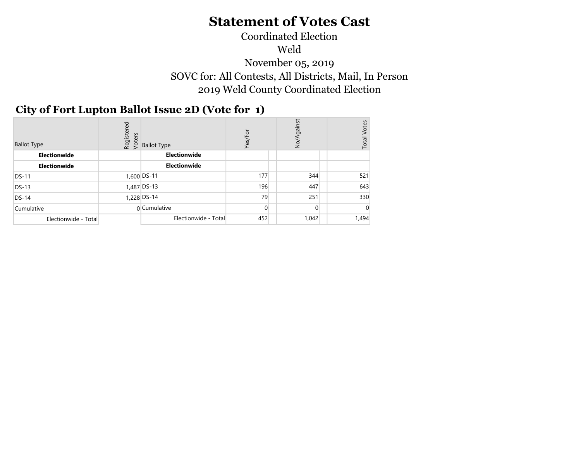## Coordinated Election Weld November 05, 2019 SOVC for: All Contests, All Districts, Mail, In Person 2019 Weld County Coordinated Election

#### $\mathcal{L}$ City of Fort Lupton Ballot Issue 2D (Vote for 1)

| <b>Ballot Type</b>   | Registered<br>Voters | <b>Ballot Type</b>   | Yes/For | No/Against | Votes<br>Total |
|----------------------|----------------------|----------------------|---------|------------|----------------|
| Electionwide         |                      | Electionwide         |         |            |                |
| Electionwide         |                      | Electionwide         |         |            |                |
| <b>DS-11</b>         |                      | 1,600 DS-11          | 177     | 344        | 521            |
| $DS-13$              |                      | $1,487$ DS-13        | 196     | 447        | 643            |
| $DS-14$              |                      | 1,228 DS-14          | 79      | 251        | 330            |
| Cumulative           |                      | 0 Cumulative         | 0       | $\Omega$   |                |
| Electionwide - Total |                      | Electionwide - Total | 452     | 1,042      | 1,494          |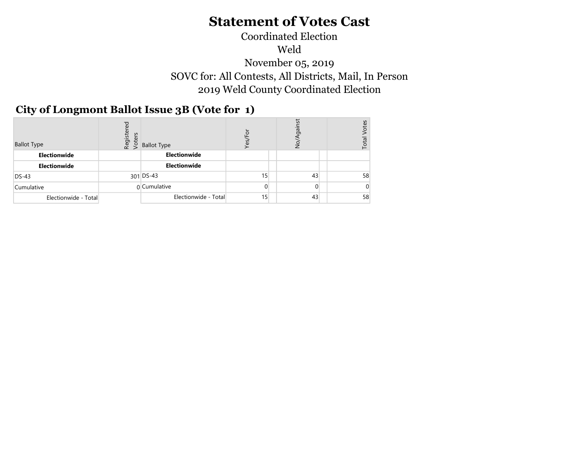#### Coordinated Election Weld November 05, 2019 SOVC for: All Contests, All Districts, Mail, In Person 2019 Weld County Coordinated Election  $\mathcal{L}$

## City of Longmont Ballot Issue 3B (Vote for 1)

| <b>Ballot Type</b>   | ರ<br>Registe<br>Voters | <b>Ballot Type</b>   | Yes, | .<br>gai<br>S | tes<br>Total |
|----------------------|------------------------|----------------------|------|---------------|--------------|
| Electionwide         |                        | Electionwide         |      |               |              |
| Electionwide         |                        | Electionwide         |      |               |              |
| $DS-43$              |                        | 301 DS-43            | 15   | 43            | 58           |
| Cumulative           |                        | 0 Cumulative         | 0    | 0             |              |
| Electionwide - Total |                        | Electionwide - Total | 15   | 43            | 58           |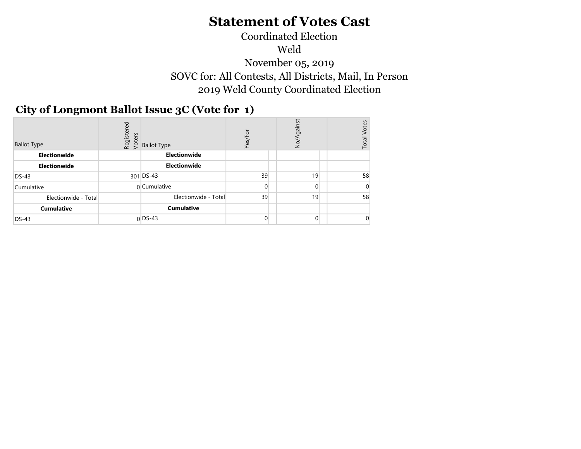#### Coordinated Election Weld November 05, 2019 SOVC for: All Contests, All Districts, Mail, In Person 2019 Weld County Coordinated Election  $\mathcal{L}$

## City of Longmont Ballot Issue 3C (Vote for 1)

| <b>Ballot Type</b>   | Registered<br>Voters | <b>Ballot Type</b>   | Yes/For        | gainst<br>No/  | Votes<br>Total |
|----------------------|----------------------|----------------------|----------------|----------------|----------------|
| Electionwide         |                      | Electionwide         |                |                |                |
| Electionwide         |                      | Electionwide         |                |                |                |
| $DS-43$              |                      | $301$ DS-43          | 39             | 19             | 58             |
| Cumulative           |                      | 0 Cumulative         | $\overline{0}$ | $\Omega$       |                |
| Electionwide - Total |                      | Electionwide - Total | 39             | 19             | 58             |
| <b>Cumulative</b>    |                      | <b>Cumulative</b>    |                |                |                |
| $DS-43$              |                      | $0$ DS-43            | $\overline{0}$ | $\overline{0}$ |                |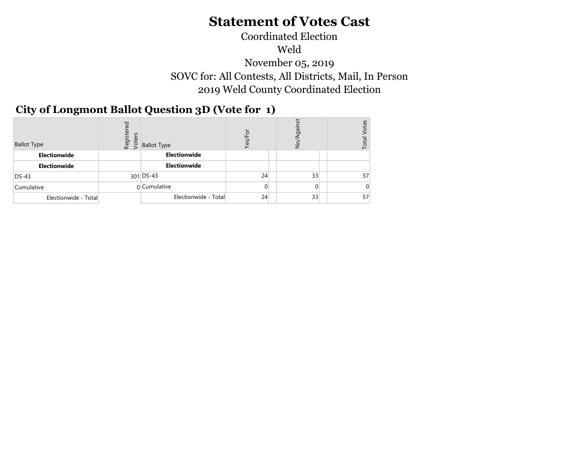## Coordinated Election Weld November 05, 2019 SOVC for: All Contests, All Districts, Mail, In Person 2019 Weld County Coordinated Election

#### City of Longmont Ballot Question 3D (Vote for 1)  $\mathbf{A}$

| <b>Ballot Type</b>   | Registered<br>Voters | <b>Ballot Type</b>   | Yes | iā<br>S  | tes<br>$\overline{\text{total}}$ |
|----------------------|----------------------|----------------------|-----|----------|----------------------------------|
| Electionwide         |                      | Electionwide         |     |          |                                  |
| Electionwide         |                      | Electionwide         |     |          |                                  |
| $DS-43$              |                      | 301 DS-43            | 24  | 33       | 57                               |
| Cumulative           |                      | 0 Cumulative         | 0   | $\Omega$ |                                  |
| Electionwide - Total |                      | Electionwide - Total | 24  | 33       | 57                               |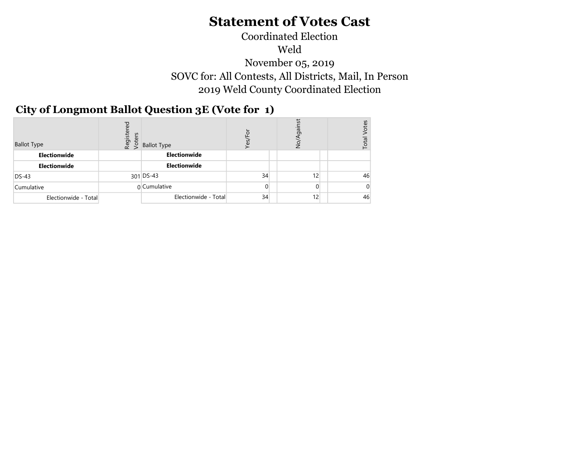## Coordinated Election Weld November 05, 2019 SOVC for: All Contests, All Districts, Mail, In Person 2019 Weld County Coordinated Election

#### City of Longmont Ballot Question 3E (Vote for 1) November 5, 2019

| <b>Ballot Type</b>   | Registered<br>Voters | <b>Ballot Type</b>   | ō        | ing<br>O<br>z | otes<br>Total |
|----------------------|----------------------|----------------------|----------|---------------|---------------|
| Electionwide         |                      | Electionwide         |          |               |               |
| Electionwide         |                      | Electionwide         |          |               |               |
| $DS-43$              |                      | $301$ DS-43          | 34       | 12            | 46            |
| Cumulative           |                      | 0 Cumulative         | $\Omega$ | 0             |               |
| Electionwide - Total |                      | Electionwide - Total | 34       | 12            | 46            |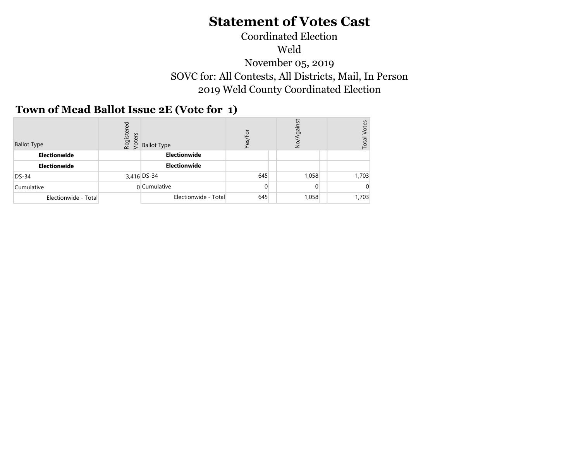## Coordinated Election Weld November 05, 2019 SOVC for: All Contests, All Districts, Mail, In Person 2019 Weld County Coordinated Election

## Town of Mead Ballot Issue 2E (Vote for 1)

| <b>Ballot Type</b>   | ρā<br>Register<br>Voters | <b>Ballot Type</b>   | Yes            | gainst<br>S | otes<br>Total |
|----------------------|--------------------------|----------------------|----------------|-------------|---------------|
| Electionwide         |                          | Electionwide         |                |             |               |
| Electionwide         |                          | Electionwide         |                |             |               |
| $DS-34$              |                          | 3,416 DS-34          | 645            | 1,058       | 1,703         |
| Cumulative           |                          | 0 Cumulative         | $\overline{0}$ |             |               |
| Electionwide - Total |                          | Electionwide - Total | 645            | 1,058       | 1,703         |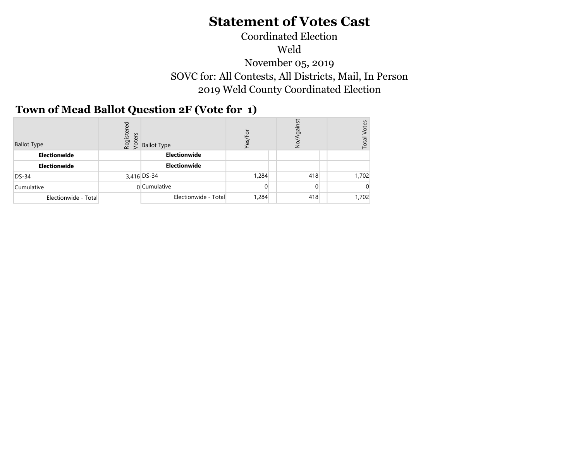#### Coordinated Election Weld November 05, 2019 SOVC for: All Contests, All Districts, Mail, In Person 2019 Weld County Coordinated Election  $\mathcal{L}$

### Town of Mead Ballot Question 2F (Vote for 1)

| <b>Ballot Type</b>   | Registered<br>Voters | <b>Ballot Type</b>   | Yes   | iā<br>S  | otes<br>Total |
|----------------------|----------------------|----------------------|-------|----------|---------------|
| Electionwide         |                      | Electionwide         |       |          |               |
| Electionwide         |                      | Electionwide         |       |          |               |
| $DS-34$              |                      | 3,416 DS-34          | 1,284 | 418      | 1,702         |
| Cumulative           |                      | $0$ Cumulative       | 0     | $\Omega$ |               |
| Electionwide - Total |                      | Electionwide - Total | 1,284 | 418      | 1,702         |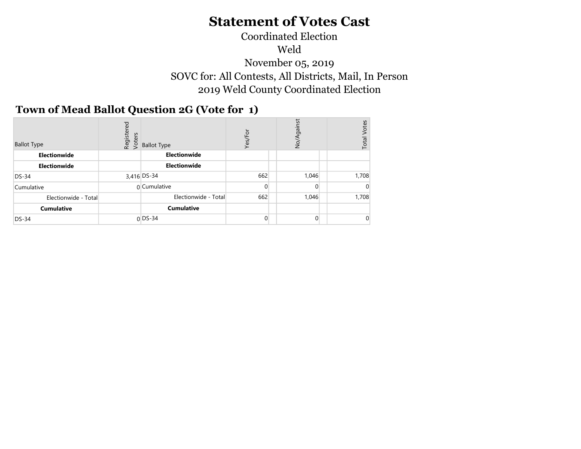#### Coordinated Election Weld November 05, 2019 SOVC for: All Contests, All Districts, Mail, In Person 2019 Weld County Coordinated Election  $N<sup>2</sup>$

### Town of Mead Ballot Question 2G (Vote for 1)

| <b>Ballot Type</b>   | Registered<br>Voters | <b>Ballot Type</b>   | Yes/For        | gainst<br>No/  | <b>Votes</b><br>Total |
|----------------------|----------------------|----------------------|----------------|----------------|-----------------------|
| Electionwide         |                      | Electionwide         |                |                |                       |
| Electionwide         |                      | Electionwide         |                |                |                       |
| $DS-34$              |                      | 3,416 DS-34          | 662            | 1,046          | 1,708                 |
| Cumulative           |                      | 0 Cumulative         | $\overline{0}$ | $\overline{0}$ |                       |
| Electionwide - Total |                      | Electionwide - Total | 662            | 1,046          | 1,708                 |
| <b>Cumulative</b>    |                      | <b>Cumulative</b>    |                |                |                       |
| $DS-34$              |                      | $0$ DS-34            | $\overline{0}$ | $\overline{0}$ |                       |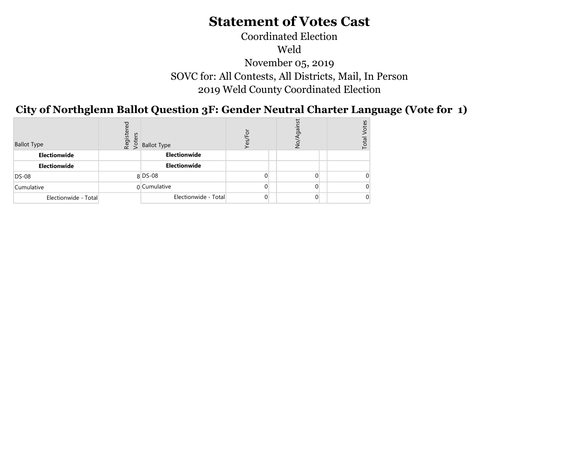## Coordinated Election Weld November 05, 2019 SOVC for: All Contests, All Districts, Mail, In Person 2019 Weld County Coordinated Election

City of Northglenn Ballot Question 3F: Gender Neutral Charter Language (Vote for 1)  $\overline{N}$   $\overline{S}$ 

| <b>Ballot Type</b>   | ъ<br>φ<br>Register<br>Voters | <b>Ballot Type</b>   |   | ā.<br>ş        | Se<br>Total |
|----------------------|------------------------------|----------------------|---|----------------|-------------|
| Electionwide         |                              | Electionwide         |   |                |             |
| Electionwide         |                              | Electionwide         |   |                |             |
| <b>DS-08</b>         |                              | $8$ DS-08            | 0 | 0.             |             |
| Cumulative           |                              | 0 Cumulative         | 0 | $\Omega$       |             |
| Electionwide - Total |                              | Electionwide - Total | 0 | $\overline{0}$ |             |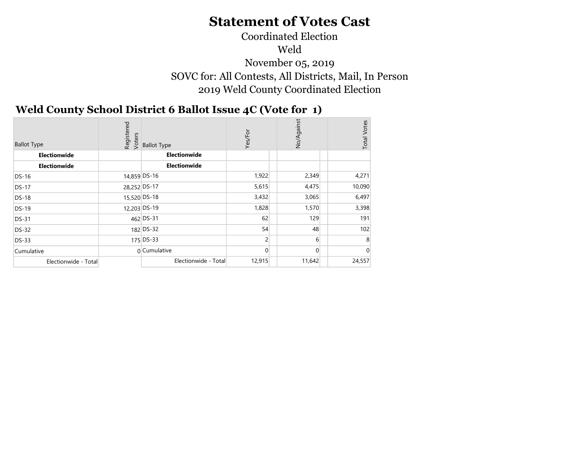## Coordinated Election Weld November 05, 2019 SOVC for: All Contests, All Districts, Mail, In Person 2019 Weld County Coordinated Election

#### Weld County School District 6 Ballot Issue 4C (Vote for 1)  $\sigma$   $\sigma$   $\sigma$   $\chi$

| <b>Ballot Type</b>   | Registered<br>Voters | <b>Ballot Type</b>   | Yes/For  | No/Against | <b>Total Votes</b> |
|----------------------|----------------------|----------------------|----------|------------|--------------------|
| Electionwide         |                      | Electionwide         |          |            |                    |
| Electionwide         |                      | <b>Electionwide</b>  |          |            |                    |
| <b>DS-16</b>         | 14,859 DS-16         |                      | 1,922    | 2,349      | 4,271              |
| <b>DS-17</b>         | 28,252 DS-17         |                      | 5,615    | 4,475      | 10,090             |
| <b>DS-18</b>         | 15,520 DS-18         |                      | 3,432    | 3,065      | 6,497              |
| <b>DS-19</b>         | 12,203 DS-19         |                      | 1,828    | 1,570      | 3,398              |
| <b>DS-31</b>         |                      | 462 DS-31            | 62       | 129        | 191                |
| <b>DS-32</b>         |                      | 182 DS-32            | 54       | 48         | 102                |
| <b>DS-33</b>         |                      | 175 DS-33            | 2        | 6          | 8                  |
| Cumulative           |                      | n Cumulative         | $\Omega$ | $\Omega$   | C                  |
| Electionwide - Total |                      | Electionwide - Total | 12,915   | 11,642     | 24,557             |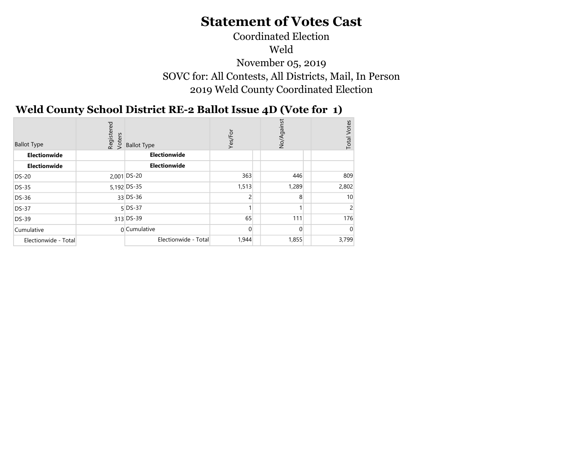## Coordinated Election Weld November 05, 2019 SOVC for: All Contests, All Districts, Mail, In Person 2019 Weld County Coordinated Election

#### Weld County School District RE-2 Ballot Issue 4D (Vote for 1)  $\sum_{i=1}^{n}$

| <b>Ballot Type</b>   | Registered<br>Voters | <b>Ballot Type</b>   | Yes/For     | rst<br>No/Agai | <b>Total Votes</b> |
|----------------------|----------------------|----------------------|-------------|----------------|--------------------|
| Electionwide         |                      | Electionwide         |             |                |                    |
| Electionwide         |                      | Electionwide         |             |                |                    |
| <b>DS-20</b>         |                      | $2,001$ DS-20        | 363         | 446            | 809                |
| <b>DS-35</b>         |                      | 5,192 DS-35          | 1,513       | 1,289          | 2,802              |
| <b>DS-36</b>         |                      | $33$ DS-36           | 2           | 8              | 10                 |
| <b>DS-37</b>         |                      | $5$ DS-37            |             |                |                    |
| <b>DS-39</b>         |                      | 313 DS-39            | 65          | 111            | 176                |
| Cumulative           |                      | 0 Cumulative         | $\mathbf 0$ | 0              |                    |
| Electionwide - Total |                      | Electionwide - Total | 1,944       | 1,855          | 3,799              |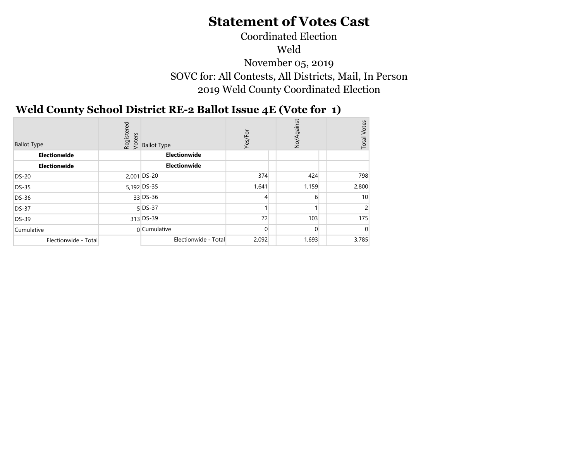## Coordinated Election Weld November 05, 2019 SOVC for: All Contests, All Districts, Mail, In Person 2019 Weld County Coordinated Election

#### Weld County School District RE-2 Ballot Issue 4E (Vote for 1)  $\overline{D}$   $\overline{C}$   $\overline{C}$   $\overline{C}$   $\overline{C}$

| <b>Ballot Type</b>   | Registered<br>Voters | <b>Ballot Type</b>   | Yes/For  | No/Against | Votes<br>Total |
|----------------------|----------------------|----------------------|----------|------------|----------------|
| Electionwide         |                      | Electionwide         |          |            |                |
| Electionwide         |                      | Electionwide         |          |            |                |
| <b>DS-20</b>         |                      | 2,001 DS-20          | 374      | 424        | 798            |
| <b>DS-35</b>         |                      | 5,192 DS-35          | 1,641    | 1,159      | 2,800          |
| DS-36                |                      | $33$ DS-36           | 4        | 6          | 10             |
| <b>DS-37</b>         |                      | $5$ DS-37            |          |            |                |
| DS-39                |                      | 313 DS-39            | 72       | 103        | 175            |
| Cumulative           |                      | $0$ Cumulative       | $\Omega$ | $\Omega$   |                |
| Electionwide - Total |                      | Electionwide - Total | 2,092    | 1,693      | 3,785          |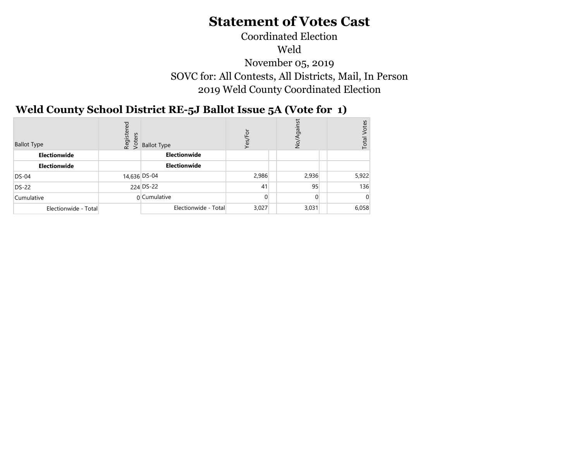## Coordinated Election Weld November 05, 2019 SOVC for: All Contests, All Districts, Mail, In Person 2019 Weld County Coordinated Election

#### Weld County School District RE-5J Ballot Issue 5A (Vote for 1)  $\sqrt{3}$

| <b>Ballot Type</b>   | Registered<br>Voters | <b>Ballot Type</b>   | ŏ<br>$\blacksquare$<br>Yes, | iā<br>gai<br>è | <b>lotes</b><br>Total |
|----------------------|----------------------|----------------------|-----------------------------|----------------|-----------------------|
| Electionwide         |                      | Electionwide         |                             |                |                       |
| <b>Electionwide</b>  |                      | <b>Electionwide</b>  |                             |                |                       |
| $DS-04$              |                      | 14,636 DS-04         | 2,986                       | 2,936          | 5,922                 |
| <b>DS-22</b>         |                      | 224 DS-22            | 41                          | 95             | 136                   |
| Cumulative           |                      | 0 Cumulative         | $\overline{0}$              | $\Omega$       |                       |
| Electionwide - Total |                      | Electionwide - Total | 3,027                       | 3,031          | 6,058                 |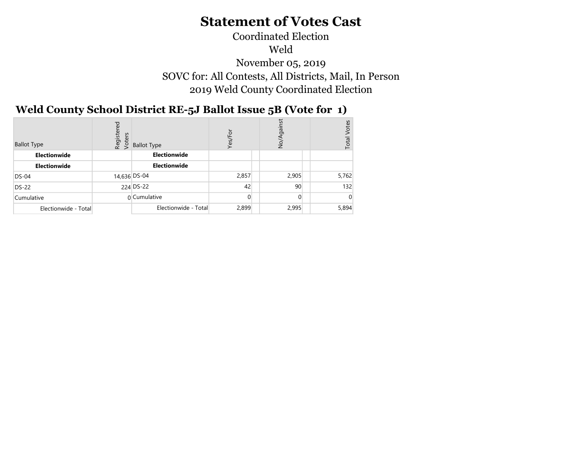## Coordinated Election Weld November 05, 2019 SOVC for: All Contests, All Districts, Mail, In Person 2019 Weld County Coordinated Election

#### Weld County School District RE-5J Ballot Issue 5B (Vote for 1)  $\sum_{i=1}^{n}$

| <b>Ballot Type</b>   | Registered<br>Voters | <b>Ballot Type</b>   | ŏ<br>Yes/F     | ing<br>ş        | /otes<br>Total |
|----------------------|----------------------|----------------------|----------------|-----------------|----------------|
| <b>Electionwide</b>  |                      | <b>Electionwide</b>  |                |                 |                |
| <b>Electionwide</b>  |                      | <b>Electionwide</b>  |                |                 |                |
| $DS-04$              | 14,636 DS-04         |                      | 2,857          | 2,905           | 5,762          |
| <b>DS-22</b>         |                      | 224 DS-22            | 42             | 90 <sub>1</sub> | 132            |
| Cumulative           |                      | 0 Cumulative         | $\overline{0}$ |                 |                |
| Electionwide - Total |                      | Electionwide - Total | 2,899          | 2,995           | 5,894          |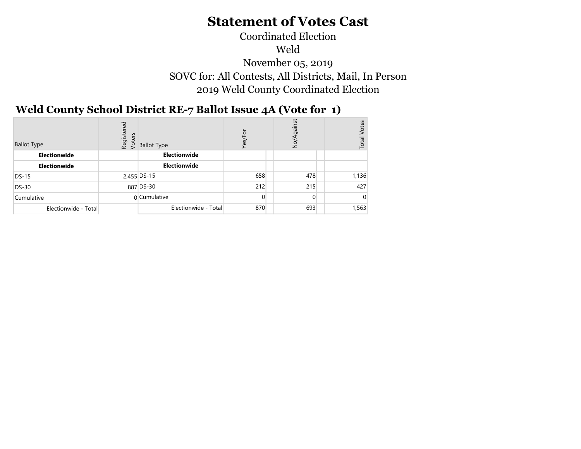## Coordinated Election Weld November 05, 2019 SOVC for: All Contests, All Districts, Mail, In Person 2019 Weld County Coordinated Election

#### Weld County School District RE-7 Ballot Issue 4A (Vote for 1)  $\sqrt{3}$

| <b>Ballot Type</b>   | Regist<br>Voters | <b>Ballot Type</b>   | /Fo<br>Yes/ | gain<br>9<br>S | Votes<br>Total |
|----------------------|------------------|----------------------|-------------|----------------|----------------|
| Electionwide         |                  | Electionwide         |             |                |                |
| Electionwide         |                  | <b>Electionwide</b>  |             |                |                |
| DS-15                |                  | 2,455 DS-15          | 658         | 478            | 1,136          |
| <b>DS-30</b>         |                  | 887 DS-30            | 212         | 215            | 427            |
| Cumulative           |                  | 0 Cumulative         |             | $\overline{0}$ |                |
| Electionwide - Total |                  | Electionwide - Total | 870         | 693            | 1,563          |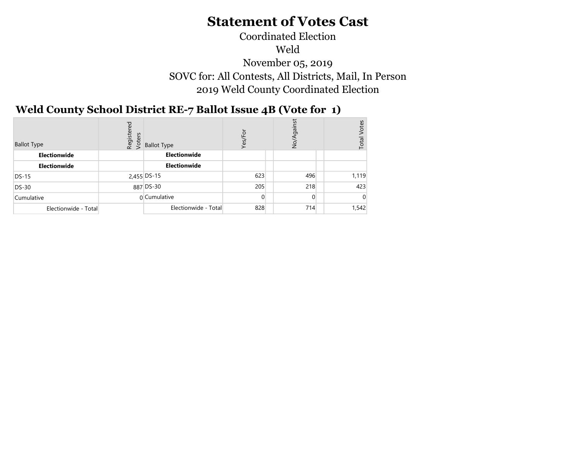## Coordinated Election Weld November 05, 2019 SOVC for: All Contests, All Districts, Mail, In Person 2019 Weld County Coordinated Election

#### Weld County School District RE-7 Ballot Issue 4B (Vote for 1)  $\sum_{i=1}^{n} a_i$

| <b>Ballot Type</b>   | ರ<br>Registe<br>Voters | <b>Ballot Type</b>   | ∕Fo<br>Yes/ | gains<br>ş | Votes<br>Total |
|----------------------|------------------------|----------------------|-------------|------------|----------------|
| Electionwide         |                        | Electionwide         |             |            |                |
| Electionwide         |                        | <b>Electionwide</b>  |             |            |                |
| $DS-15$              |                        | 2,455 DS-15          | 623         | 496        | 1,119          |
| DS-30                |                        | 887 DS-30            | 205         | 218        | 423            |
| Cumulative           |                        | 0 Cumulative         |             | $\Omega$   |                |
| Electionwide - Total |                        | Electionwide - Total | 828         | 714        | 1,542          |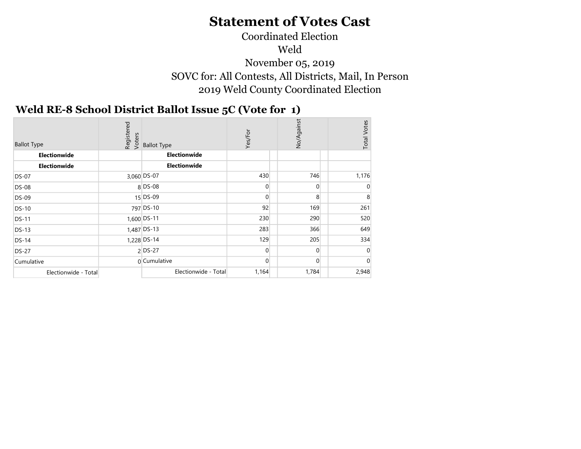## Coordinated Election Weld November 05, 2019 SOVC for: All Contests, All Districts, Mail, In Person 2019 Weld County Coordinated Election

#### Weld RE-8 School District Ballot Issue 5C (Vote for 1)  $\sim$  2019  $\sim$

| <b>Ballot Type</b>   | Registered<br>Voters | <b>Ballot Type</b>   | Yes/For        | No/Against     | <b>Total Votes</b> |
|----------------------|----------------------|----------------------|----------------|----------------|--------------------|
| Electionwide         |                      | <b>Electionwide</b>  |                |                |                    |
| Electionwide         |                      | Electionwide         |                |                |                    |
| <b>DS-07</b>         |                      | 3,060 DS-07          | 430            | 746            | 1,176              |
| <b>DS-08</b>         |                      | 8 DS-08              | $\overline{0}$ | $\overline{0}$ | 0                  |
| <b>DS-09</b>         |                      | 15 DS-09             | $\overline{0}$ | 8 <sup>1</sup> | 8                  |
| <b>DS-10</b>         |                      | 797 DS-10            | 92             | 169            | 261                |
| <b>DS-11</b>         |                      | 1,600 DS-11          | 230            | 290            | 520                |
| <b>DS-13</b>         |                      | $1,487$ DS-13        | 283            | 366            | 649                |
| <b>DS-14</b>         |                      | 1,228 DS-14          | 129            | 205            | 334                |
| <b>DS-27</b>         |                      | $2$ DS-27            | $\overline{0}$ | $\Omega$       | $\Omega$           |
| Cumulative           |                      | 0 Cumulative         | $\overline{0}$ | $\Omega$       |                    |
| Electionwide - Total |                      | Electionwide - Total | 1,164          | 1,784          | 2,948              |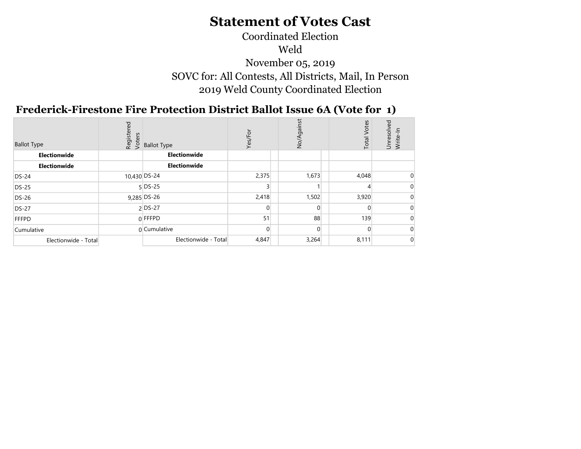## Coordinated Election Weld November 05, 2019 SOVC for: All Contests, All Districts, Mail, In Person 2019 Weld County Coordinated Election

#### Frederick-Firestone Fire Protection District Ballot Issue 6A (Vote for 1)  $N_{\text{N}}$

| <b>Ballot Type</b>   | ᠊ᠣ | ီး မှူး<br>မွှေ့ Ballot Type<br>& > | Yes/For  | irgan<br>$\frac{5}{2}$ | <b>Total Votes</b> | $\overline{\sigma}$<br>Unresolv<br>$rac{1}{\sqrt{2}}$<br>Write- |
|----------------------|----|-------------------------------------|----------|------------------------|--------------------|-----------------------------------------------------------------|
| Electionwide         |    | Electionwide                        |          |                        |                    |                                                                 |
| Electionwide         |    | Electionwide                        |          |                        |                    |                                                                 |
| $DS-24$              |    | 10,430 DS-24                        | 2,375    | 1,673                  | 4,048              |                                                                 |
| DS-25                |    | $5$ DS-25                           |          |                        |                    |                                                                 |
| DS-26                |    | $9,285$ DS-26                       | 2,418    | 1,502                  | 3,920              |                                                                 |
| <b>DS-27</b>         |    | 2 DS-27                             | $\Omega$ | $\Omega$               |                    |                                                                 |
| <b>FFFPD</b>         |    | $0$ FFFPD                           | 51       | 88                     | 139                |                                                                 |
| Cumulative           |    | 0 Cumulative                        | $\Omega$ | $\Omega$               |                    |                                                                 |
| Electionwide - Total |    | Electionwide - Total                | 4,847    | 3,264                  | 8,111              |                                                                 |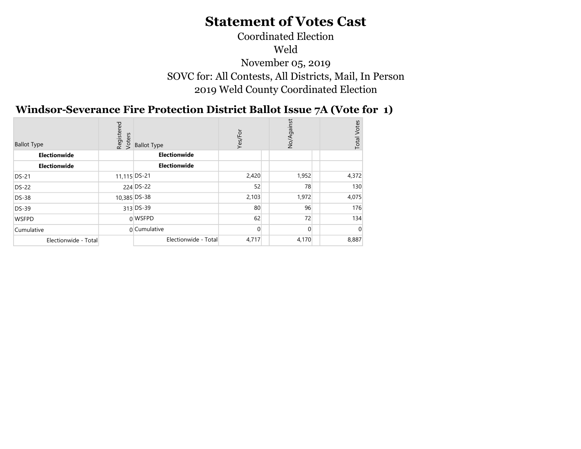Coordinated Election Weld November 05, 2019 SOVC for: All Contests, All Districts, Mail, In Person 2019 Weld County Coordinated Election

#### Windsor-Severance Fire Protection District Ballot Issue 7A (Vote for 1)  $\mathbf{v}$   $\mathbf{v}$   $\mathbf{v}$   $\mathbf{v}$

| <b>Ballot Type</b>   | Registered<br>Voters | <b>Ballot Type</b>   | Yes/For  | No/Again | Votes<br>Total |
|----------------------|----------------------|----------------------|----------|----------|----------------|
| Electionwide         |                      | Electionwide         |          |          |                |
| Electionwide         |                      | <b>Electionwide</b>  |          |          |                |
| <b>DS-21</b>         | 11,115 DS-21         |                      | 2,420    | 1,952    | 4,372          |
| <b>DS-22</b>         |                      | 224 DS-22            | 52       | 78       | 130            |
| <b>DS-38</b>         |                      | 10,385 DS-38         | 2,103    | 1,972    | 4,075          |
| <b>DS-39</b>         |                      | 313 DS-39            | 80       | 96       | 176            |
| <b>WSFPD</b>         |                      | 0 WSFPD              | 62       | 72       | 134            |
| Cumulative           |                      | 0 Cumulative         | $\Omega$ | $\Omega$ |                |
| Electionwide - Total |                      | Electionwide - Total | 4,717    | 4,170    | 8,887          |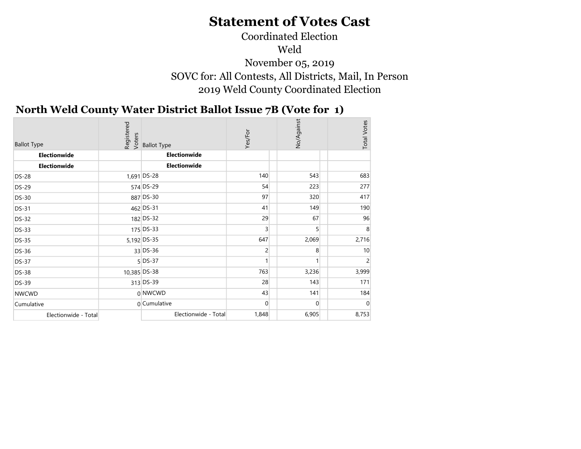## Coordinated Election Weld November 05, 2019 SOVC for: All Contests, All Districts, Mail, In Person 2019 Weld County Coordinated Election

#### North Weld County Water District Ballot Issue 7B (Vote for 1)  $\sum_{i=1}^{n}$

|                                    | Registered<br>Voters |                                    | Yes/For        | No/Against     | <b>Total Votes</b> |
|------------------------------------|----------------------|------------------------------------|----------------|----------------|--------------------|
| <b>Ballot Type</b><br>Electionwide |                      | <b>Ballot Type</b><br>Electionwide |                |                |                    |
| Electionwide                       |                      | Electionwide                       |                |                |                    |
|                                    |                      |                                    |                |                |                    |
| <b>DS-28</b>                       |                      | 1,691 DS-28                        | 140            | 543            | 683                |
| <b>DS-29</b>                       |                      | 574 DS-29                          | 54             | 223            | 277                |
| <b>DS-30</b>                       |                      | 887 DS-30                          | 97             | 320            | 417                |
| <b>DS-31</b>                       |                      | 462 DS-31                          | 41             | 149            | 190                |
| <b>DS-32</b>                       |                      | 182 DS-32                          | 29             | 67             | 96                 |
| <b>DS-33</b>                       |                      | 175 DS-33                          | $\overline{3}$ | 5 <sup>1</sup> | 8                  |
| <b>DS-35</b>                       |                      | 5,192 DS-35                        | 647            | 2,069          | 2,716              |
| <b>DS-36</b>                       |                      | 33 DS-36                           | $\overline{c}$ | 8              | 10                 |
| <b>DS-37</b>                       |                      | $5$ DS-37                          | 1              |                | 2                  |
| <b>DS-38</b>                       | 10,385 DS-38         |                                    | 763            | 3,236          | 3,999              |
| <b>DS-39</b>                       |                      | 313 DS-39                          | 28             | 143            | 171                |
| <b>NWCWD</b>                       |                      | 0 NWCWD                            | 43             | 141            | 184                |
| Cumulative                         |                      | 0 Cumulative                       | $\mathbf{0}$   | $\overline{0}$ | $\mathbf{0}$       |
| Electionwide - Total               |                      | Electionwide - Total               | 1,848          | 6,905          | 8,753              |